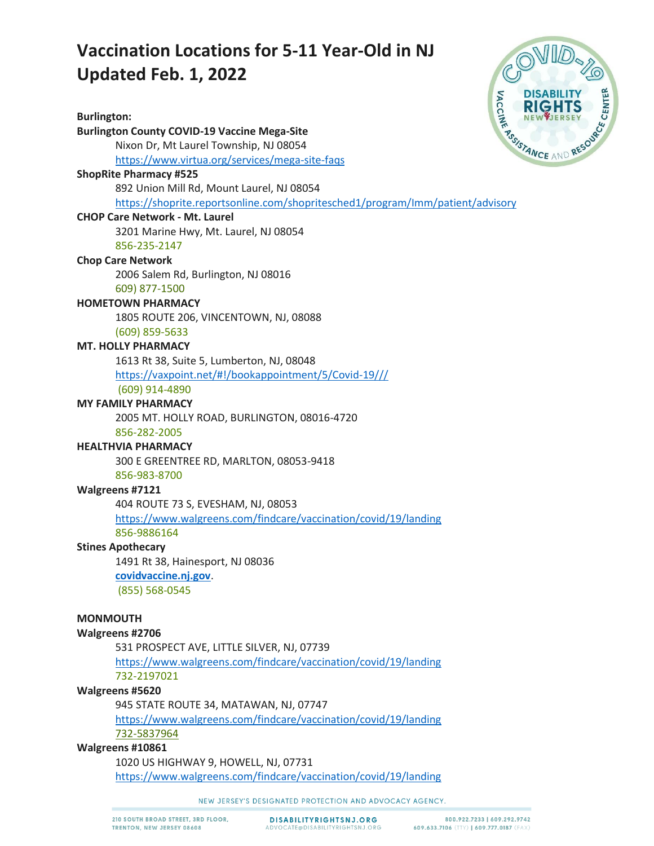# **Vaccination Locations for 5-11 Year-Old in NJ Updated Feb. 1, 2022**

**Burlington: Burlington County COVID-19 Vaccine Mega-Site** Nixon Dr, Mt Laurel Township, NJ 08054 <https://www.virtua.org/services/mega-site-faqs> **ShopRite Pharmacy #525** 892 Union Mill Rd, Mount Laurel, NJ 08054 <https://shoprite.reportsonline.com/shopritesched1/program/Imm/patient/advisory> **CHOP Care Network - Mt. Laurel** 3201 Marine Hwy, Mt. Laurel, NJ 08054 856-235-2147 **Chop Care Network** 2006 Salem Rd, Burlington, NJ 08016 609) 877-1500 **HOMETOWN PHARMACY** 1805 ROUTE 206, VINCENTOWN, NJ, 08088 (609) 859-5633 **MT. HOLLY PHARMACY** 1613 Rt 38, Suite 5, Lumberton, NJ, 08048 <https://vaxpoint.net/#!/bookappointment/5/Covid-19///> (609) 914-4890 **MY FAMILY PHARMACY** 2005 MT. HOLLY ROAD, BURLINGTON, 08016-4720 856-282-2005 **HEALTHVIA PHARMACY** 300 E GREENTREE RD, MARLTON, 08053-9418 856-983-8700 **Walgreens #7121** 404 ROUTE 73 S, EVESHAM, NJ, 08053 <https://www.walgreens.com/findcare/vaccination/covid/19/landing> 856-9886164 **Stines Apothecary** 1491 Rt 38, Hainesport, NJ 08036 **[covidvaccine.nj.gov](https://covidvaccine.nj.gov/)**. (855) 568-0545 **MONMOUTH Walgreens #2706** 531 PROSPECT AVE, LITTLE SILVER, NJ, 07739 <https://www.walgreens.com/findcare/vaccination/covid/19/landing> 732-2197021 **Walgreens #5620** 945 STATE ROUTE 34, MATAWAN, NJ, 07747 <https://www.walgreens.com/findcare/vaccination/covid/19/landing> 732-5837964 **Walgreens #10861** 1020 US HIGHWAY 9, HOWELL, NJ, 07731 <https://www.walgreens.com/findcare/vaccination/covid/19/landing>



NEW JERSEY'S DESIGNATED PROTECTION AND ADVOCACY AGENCY.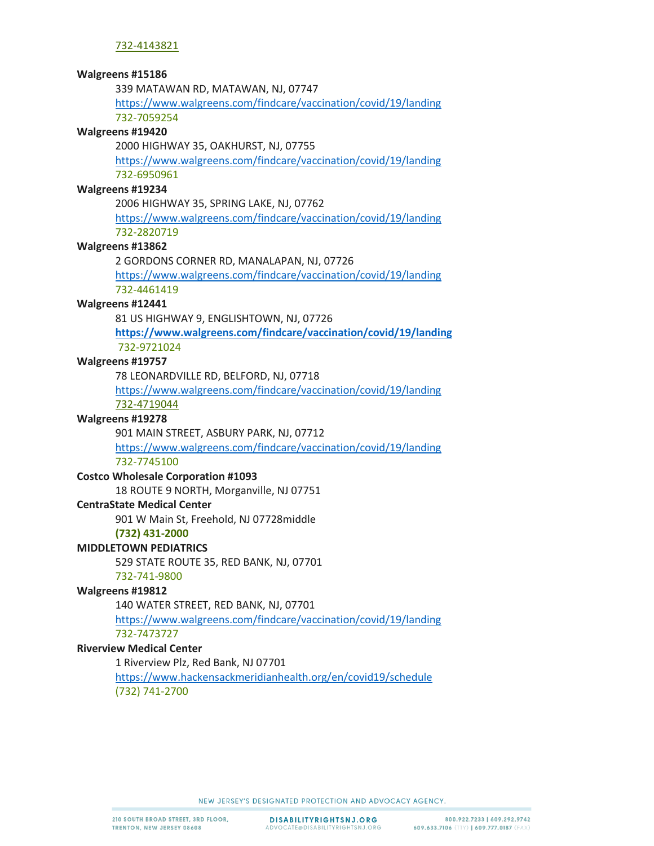339 MATAWAN RD, MATAWAN, NJ, 07747

<https://www.walgreens.com/findcare/vaccination/covid/19/landing> 732-7059254

### **Walgreens #19420**

2000 HIGHWAY 35, OAKHURST, NJ, 07755

<https://www.walgreens.com/findcare/vaccination/covid/19/landing> 732-6950961

## **Walgreens #19234**

2006 HIGHWAY 35, SPRING LAKE, NJ, 07762 <https://www.walgreens.com/findcare/vaccination/covid/19/landing>

# 732-2820719

### **Walgreens #13862**

2 GORDONS CORNER RD, MANALAPAN, NJ, 07726

<https://www.walgreens.com/findcare/vaccination/covid/19/landing> 732-4461419

### **Walgreens #12441**

81 US HIGHWAY 9, ENGLISHTOWN, NJ, 07726

**<https://www.walgreens.com/findcare/vaccination/covid/19/landing>** 732-9721024

**Walgreens #19757**

78 LEONARDVILLE RD, BELFORD, NJ, 07718

<https://www.walgreens.com/findcare/vaccination/covid/19/landing> 732-4719044

## **Walgreens #19278**

901 MAIN STREET, ASBURY PARK, NJ, 07712

<https://www.walgreens.com/findcare/vaccination/covid/19/landing> 732-7745100

## **Costco Wholesale Corporation #1093**

18 ROUTE 9 NORTH, Morganville, NJ 07751

## **CentraState Medical Center**

901 W Main St, Freehold, NJ 07728middle

#### **(732) 431-2000**

## **MIDDLETOWN PEDIATRICS**

529 STATE ROUTE 35, RED BANK, NJ, 07701

732-741-9800

## **Walgreens #19812**

140 WATER STREET, RED BANK, NJ, 07701

<https://www.walgreens.com/findcare/vaccination/covid/19/landing> 732-7473727

## **Riverview Medical Center**

1 Riverview Plz, Red Bank, NJ 07701

<https://www.hackensackmeridianhealth.org/en/covid19/schedule> (732) 741-2700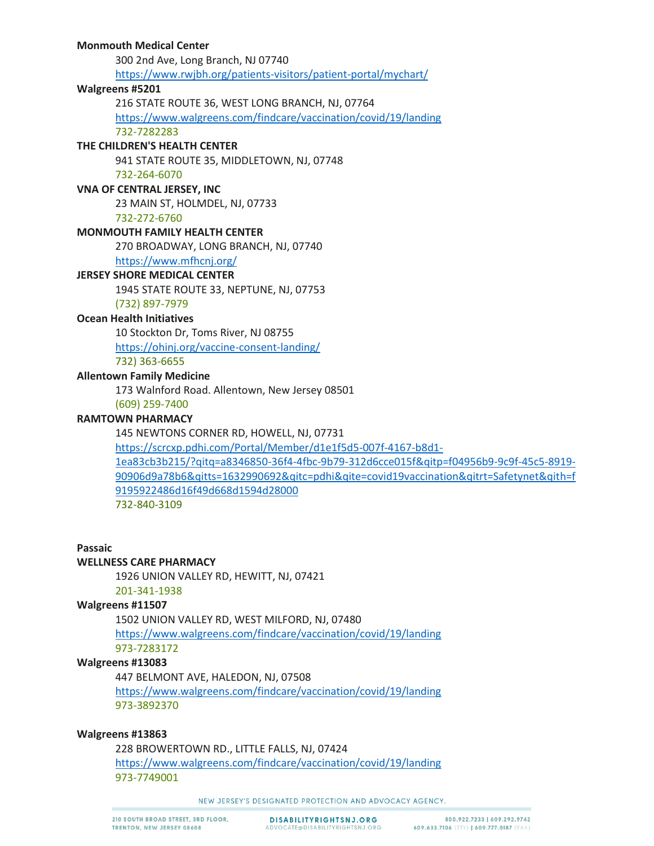## **Monmouth Medical Center**

300 2nd Ave, Long Branch, NJ 07740 <https://www.rwjbh.org/patients-visitors/patient-portal/mychart/>

## **Walgreens #5201**

216 STATE ROUTE 36, WEST LONG BRANCH, NJ, 07764

<https://www.walgreens.com/findcare/vaccination/covid/19/landing> 732-7282283

## **THE CHILDREN'S HEALTH CENTER**

941 STATE ROUTE 35, MIDDLETOWN, NJ, 07748

732-264-6070

# **VNA OF CENTRAL JERSEY, INC**

23 MAIN ST, HOLMDEL, NJ, 07733

732-272-6760

## **MONMOUTH FAMILY HEALTH CENTER**

270 BROADWAY, LONG BRANCH, NJ, 07740

# <https://www.mfhcnj.org/>

# **JERSEY SHORE MEDICAL CENTER**

1945 STATE ROUTE 33, NEPTUNE, NJ, 07753

(732) 897-7979

## **Ocean Health Initiatives**

10 Stockton Dr, Toms River, NJ 08755 <https://ohinj.org/vaccine-consent-landing/> 732) 363-6655

# **Allentown Family Medicine**

173 Walnford Road. Allentown, New Jersey 08501

# (609) 259-7400

# **RAMTOWN PHARMACY**

145 NEWTONS CORNER RD, HOWELL, NJ, 07731

[https://scrcxp.pdhi.com/Portal/Member/d1e1f5d5-007f-4167-b8d1-](https://scrcxp.pdhi.com/Portal/Member/d1e1f5d5-007f-4167-b8d1-1ea83cb3b215/?qitq=a8346850-36f4-4fbc-9b79-312d6cce015f&qitp=f04956b9-9c9f-45c5-8919-90906d9a78b6&qitts=1632990692&qitc=pdhi&qite=covid19vaccination&qitrt=Safetynet&qith=f9195922486d16f49d668d1594d28000) [1ea83cb3b215/?qitq=a8346850-36f4-4fbc-9b79-312d6cce015f&qitp=f04956b9-9c9f-45c5-8919-](https://scrcxp.pdhi.com/Portal/Member/d1e1f5d5-007f-4167-b8d1-1ea83cb3b215/?qitq=a8346850-36f4-4fbc-9b79-312d6cce015f&qitp=f04956b9-9c9f-45c5-8919-90906d9a78b6&qitts=1632990692&qitc=pdhi&qite=covid19vaccination&qitrt=Safetynet&qith=f9195922486d16f49d668d1594d28000) [90906d9a78b6&qitts=1632990692&qitc=pdhi&qite=covid19vaccination&qitrt=Safetynet&qith=f](https://scrcxp.pdhi.com/Portal/Member/d1e1f5d5-007f-4167-b8d1-1ea83cb3b215/?qitq=a8346850-36f4-4fbc-9b79-312d6cce015f&qitp=f04956b9-9c9f-45c5-8919-90906d9a78b6&qitts=1632990692&qitc=pdhi&qite=covid19vaccination&qitrt=Safetynet&qith=f9195922486d16f49d668d1594d28000) [9195922486d16f49d668d1594d28000](https://scrcxp.pdhi.com/Portal/Member/d1e1f5d5-007f-4167-b8d1-1ea83cb3b215/?qitq=a8346850-36f4-4fbc-9b79-312d6cce015f&qitp=f04956b9-9c9f-45c5-8919-90906d9a78b6&qitts=1632990692&qitc=pdhi&qite=covid19vaccination&qitrt=Safetynet&qith=f9195922486d16f49d668d1594d28000) 732-840-3109

### **Passaic**

## **WELLNESS CARE PHARMACY**

1926 UNION VALLEY RD, HEWITT, NJ, 07421

201-341-1938

## **Walgreens #11507**

1502 UNION VALLEY RD, WEST MILFORD, NJ, 07480

<https://www.walgreens.com/findcare/vaccination/covid/19/landing> 973-7283172

## **Walgreens #13083**

447 BELMONT AVE, HALEDON, NJ, 07508

<https://www.walgreens.com/findcare/vaccination/covid/19/landing> 973-3892370

## **Walgreens #13863**

228 BROWERTOWN RD., LITTLE FALLS, NJ, 07424 <https://www.walgreens.com/findcare/vaccination/covid/19/landing> 973-7749001

NEW JERSEY'S DESIGNATED PROTECTION AND ADVOCACY AGENCY.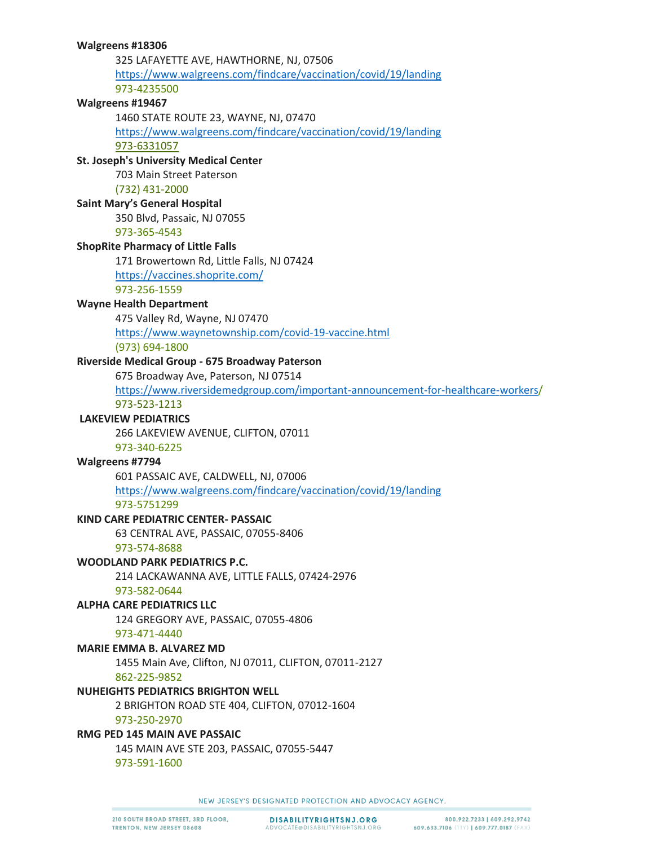| 325 LAFAYETTE AVE, HAWTHORNE, NJ, 07506                                          |
|----------------------------------------------------------------------------------|
| https://www.walgreens.com/findcare/vaccination/covid/19/landing                  |
| 973-4235500                                                                      |
| Walgreens #19467                                                                 |
| 1460 STATE ROUTE 23, WAYNE, NJ, 07470                                            |
| https://www.walgreens.com/findcare/vaccination/covid/19/landing                  |
| 973-6331057                                                                      |
| <b>St. Joseph's University Medical Center</b>                                    |
| 703 Main Street Paterson                                                         |
| (732) 431-2000                                                                   |
| <b>Saint Mary's General Hospital</b>                                             |
| 350 Blvd, Passaic, NJ 07055                                                      |
| 973-365-4543                                                                     |
| <b>ShopRite Pharmacy of Little Falls</b>                                         |
| 171 Browertown Rd, Little Falls, NJ 07424                                        |
| https://vaccines.shoprite.com/                                                   |
| 973-256-1559                                                                     |
| <b>Wayne Health Department</b>                                                   |
| 475 Valley Rd, Wayne, NJ 07470                                                   |
| https://www.waynetownship.com/covid-19-vaccine.html                              |
| (973) 694-1800                                                                   |
| Riverside Medical Group - 675 Broadway Paterson                                  |
| 675 Broadway Ave, Paterson, NJ 07514                                             |
| https://www.riversidemedgroup.com/important-announcement-for-healthcare-workers/ |
| 973-523-1213                                                                     |
| <b>LAKEVIEW PEDIATRICS</b>                                                       |
| 266 LAKEVIEW AVENUE, CLIFTON, 07011                                              |
| 973-340-6225                                                                     |
| Walgreens #7794                                                                  |
| 601 PASSAIC AVE, CALDWELL, NJ, 07006                                             |
| https://www.walgreens.com/findcare/vaccination/covid/19/landing                  |
| 973-5751299                                                                      |
| <b>KIND CARE PEDIATRIC CENTER- PASSAIC</b>                                       |
| 63 CENTRAL AVE, PASSAIC, 07055-8406                                              |
| 973-574-8688                                                                     |
| WOODLAND PARK PEDIATRICS P.C.                                                    |
| 214 LACKAWANNA AVE, LITTLE FALLS, 07424-2976                                     |
| 973-582-0644                                                                     |
| <b>ALPHA CARE PEDIATRICS LLC</b>                                                 |
| 124 GREGORY AVE, PASSAIC, 07055-4806                                             |
| 973-471-4440                                                                     |
| <b>MARIE EMMA B. ALVAREZ MD</b>                                                  |
| 1455 Main Ave, Clifton, NJ 07011, CLIFTON, 07011-2127                            |
| 862-225-9852                                                                     |
| <b>NUHEIGHTS PEDIATRICS BRIGHTON WELL</b>                                        |
| 2 BRIGHTON ROAD STE 404, CLIFTON, 07012-1604                                     |
| 973-250-2970                                                                     |
| RMG PED 145 MAIN AVE PASSAIC                                                     |
| 145 MAIN AVE STE 203, PASSAIC, 07055-5447                                        |
| 973-591-1600                                                                     |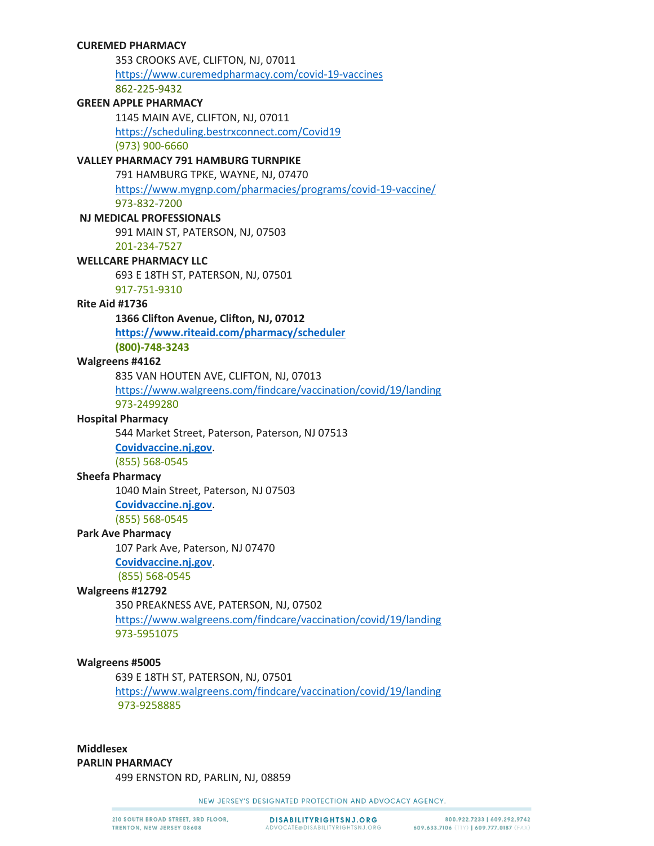### **CUREMED PHARMACY**

353 CROOKS AVE, CLIFTON, NJ, 07011 <https://www.curemedpharmacy.com/covid-19-vaccines> 862-225-9432

## **GREEN APPLE PHARMACY**

1145 MAIN AVE, CLIFTON, NJ, 07011

<https://scheduling.bestrxconnect.com/Covid19>

(973) 900-6660

# **VALLEY PHARMACY 791 HAMBURG TURNPIKE**

791 HAMBURG TPKE, WAYNE, NJ, 07470

<https://www.mygnp.com/pharmacies/programs/covid-19-vaccine/>

973-832-7200

# **NJ MEDICAL PROFESSIONALS**

991 MAIN ST, PATERSON, NJ, 07503

201-234-7527

# **WELLCARE PHARMACY LLC**

693 E 18TH ST, PATERSON, NJ, 07501

917-751-9310

#### **Rite Aid #1736**

#### **1366 Clifton Avenue, Clifton, NJ, 07012**

**<https://www.riteaid.com/pharmacy/scheduler>**

**(800)-748-3243**

#### **Walgreens #4162**

835 VAN HOUTEN AVE, CLIFTON, NJ, 07013

<https://www.walgreens.com/findcare/vaccination/covid/19/landing>

973-2499280

## **Hospital Pharmacy**

544 Market Street, Paterson, Paterson, NJ 07513

**[Covidvaccine.nj.gov](https://covidvaccine.nj.gov/)**. (855) 568-0545

#### **Sheefa Pharmacy**

1040 Main Street, Paterson, NJ 07503 **[Covidvaccine.nj.gov](https://covidvaccine.nj.gov/)**. (855) 568-0545

#### **Park Ave Pharmacy**

107 Park Ave, Paterson, NJ 07470 **[Covidvaccine.nj.gov](https://covidvaccine.nj.gov/)**. (855) 568-0545

#### **Walgreens #12792**

350 PREAKNESS AVE, PATERSON, NJ, 07502 <https://www.walgreens.com/findcare/vaccination/covid/19/landing> 973-5951075

#### **Walgreens #5005**

639 E 18TH ST, PATERSON, NJ, 07501 <https://www.walgreens.com/findcare/vaccination/covid/19/landing> 973-9258885

# **Middlesex PARLIN PHARMACY**

499 ERNSTON RD, PARLIN, NJ, 08859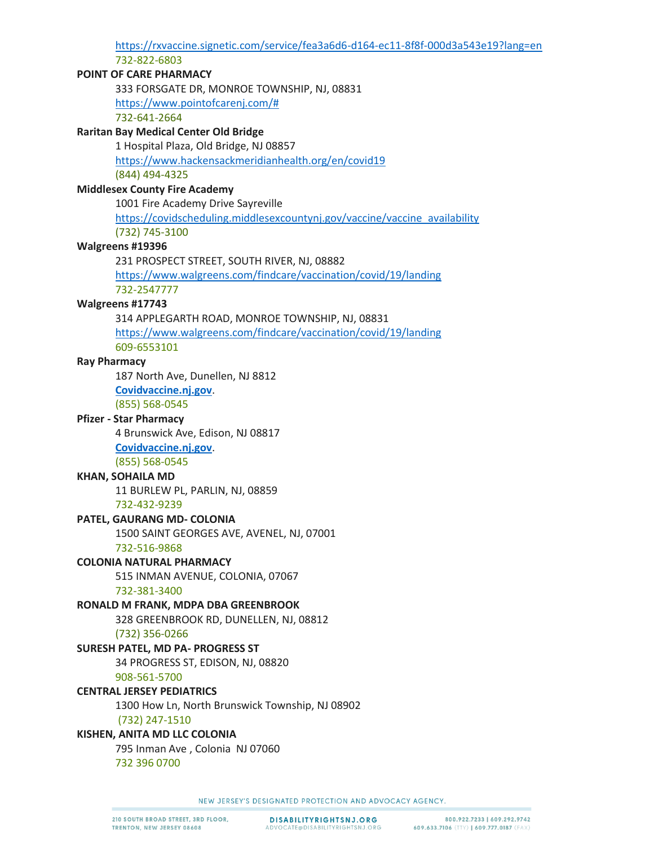[https://rxvaccine.signetic.com/service/fea3a6d6-d164-ec11-8f8f-000d3a543e19?l](https://rxvaccine.signetic.com/service/fea3a6d6-d164-ec11-8f8f-000d3a543e19?lang=en)ang=en 732-822-6803

## **POINT OF CARE PHARMACY**

333 FORSGATE DR, MONROE TOWNSHIP, NJ, 08831 [https://www.pointofcarenj.com/#](https://www.pointofcarenj.com/)

732-641-2664

## **Raritan Bay Medical Center Old Bridge**

1 Hospital Plaza, Old Bridge, NJ 08857 <https://www.hackensackmeridianhealth.org/en/covid19> (844) 494-4325

### **Middlesex County Fire Academy** 1001 Fire Academy Drive Sayreville

[https://covidscheduling.middlesexcountynj.gov/vaccine/vaccine\\_availability](https://covidscheduling.middlesexcountynj.gov/vaccine/vaccine_availability) (732) 745-3100

### **Walgreens #19396**

231 PROSPECT STREET, SOUTH RIVER, NJ, 08882

<https://www.walgreens.com/findcare/vaccination/covid/19/landing> 732-2547777

### **Walgreens #17743**

314 APPLEGARTH ROAD, MONROE TOWNSHIP, NJ, 08831 <https://www.walgreens.com/findcare/vaccination/covid/19/landing> 609-6553101

## **Ray Pharmacy**

187 North Ave, Dunellen, NJ 8812

**[Covidvaccine.nj.gov](https://covidvaccine.nj.gov/)**.

(855) 568-0545

# **Pfizer - Star Pharmacy**

4 Brunswick Ave, Edison, NJ 08817

**[Covidvaccine.nj.gov](https://covidvaccine.nj.gov/)**.

(855) 568-0545

# **KHAN, SOHAILA MD**

11 BURLEW PL, PARLIN, NJ, 08859

732-432-9239

#### **PATEL, GAURANG MD- COLONIA**

1500 SAINT GEORGES AVE, AVENEL, NJ, 07001 732-516-9868

#### **COLONIA NATURAL PHARMACY**

515 INMAN AVENUE, COLONIA, 07067

#### 732-381-3400

## **RONALD M FRANK, MDPA DBA GREENBROOK**

328 GREENBROOK RD, DUNELLEN, NJ, 08812 (732) 356-0266

## **SURESH PATEL, MD PA- PROGRESS ST**

34 PROGRESS ST, EDISON, NJ, 08820 908-561-5700

# **CENTRAL JERSEY PEDIATRICS**

1300 How Ln, North Brunswick Township, NJ 08902 (732) 247-1510

# **KISHEN, ANITA MD LLC COLONIA**

795 Inman Ave , Colonia NJ 07060

732 396 0700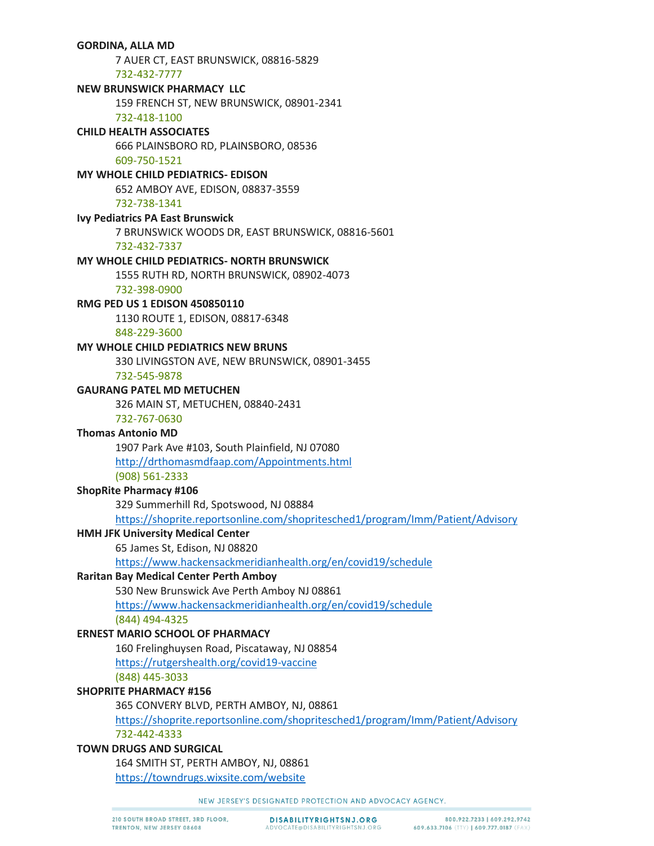# **GORDINA, ALLA MD** 7 AUER CT, EAST BRUNSWICK, 08816-5829 732-432-7777 **NEW BRUNSWICK PHARMACY LLC** 159 FRENCH ST, NEW BRUNSWICK, 08901-2341 732-418-1100 **CHILD HEALTH ASSOCIATES** 666 PLAINSBORO RD, PLAINSBORO, 08536 609-750-1521 MY WHOLE CHILD PEDIATRICS- EDISON 652 AMBOY AVE, EDISON, 08837-3559 732-738-1341 **Ivy Pediatrics PA East Brunswick** 7 BRUNSWICK WOODS DR, EAST BRUNSWICK, 08816-5601 732-432-7337 MY WHOLE CHILD PEDIATRICS- NORTH BRUNSWICK 1555 RUTH RD, NORTH BRUNSWICK, 08902-4073 732-398-0900 RMG PED US 1 EDISON 450850110 1130 ROUTE 1, EDISON, 08817-6348 848-229-3600 **MY WHOLE CHILD PEDIATRICS NEW BRUNS** 330 LIVINGSTON AVE, NEW BRUNSWICK, 08901-3455 732-545-9878 **GAURANG PATEL MD METUCHEN** 326 MAIN ST, METUCHEN, 08840-2431 732-767-0630 **Thomas Antonio MD** 1907 Park Ave #103, South Plainfield, NJ 07080 http://drthomasmdfaap.com/Appointments.html (908) 561-2333 **ShopRite Pharmacy #106** 329 Summerhill Rd, Spotswood, NJ 08884 https://shoprite.reportsonline.com/shopritesched1/program/Imm/Patient/Advisory **HMH JFK University Medical Center** 65 James St, Edison, NJ 08820 https://www.hackensackmeridianhealth.org/en/covid19/schedule **Raritan Bay Medical Center Perth Amboy** 530 New Brunswick Ave Perth Amboy NJ 08861 https://www.hackensackmeridianhealth.org/en/covid19/schedule (844) 494-4325 **ERNEST MARIO SCHOOL OF PHARMACY** 160 Frelinghuysen Road, Piscataway, NJ 08854 https://rutgershealth.org/covid19-vaccine (848) 445-3033 **SHOPRITE PHARMACY #156** 365 CONVERY BLVD, PERTH AMBOY, NJ, 08861 https://shoprite.reportsonline.com/shopritesched1/program/Imm/Patient/Advisory 732-442-4333 **TOWN DRUGS AND SURGICAL** 164 SMITH ST, PERTH AMBOY, NJ, 08861 https://towndrugs.wixsite.com/website

NEW JERSEY'S DESIGNATED PROTECTION AND ADVOCACY AGENCY.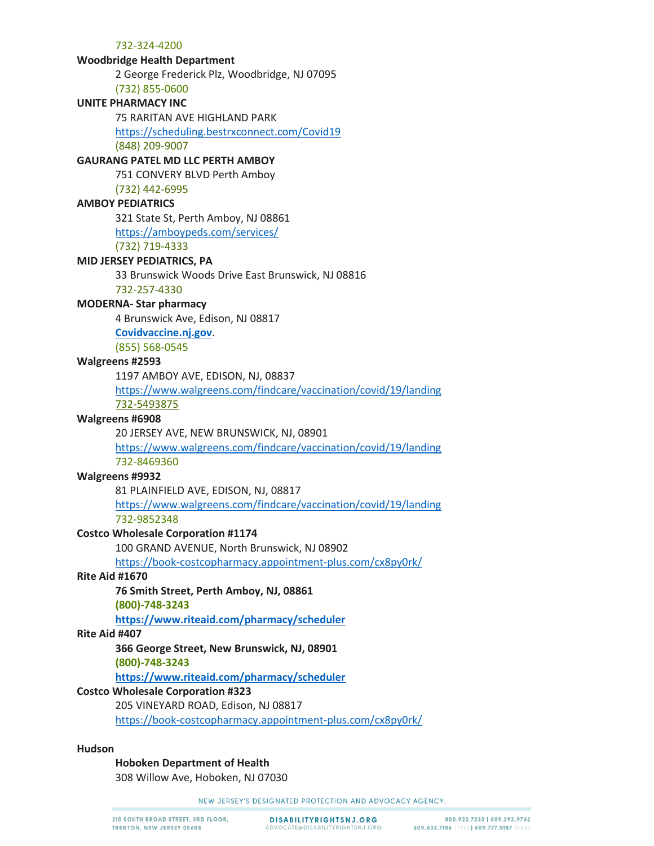#### **Woodbridge Health Department**

2 George Frederick Plz, Woodbridge, NJ 07095

(732) 855-0600

# **UNITE PHARMACY INC**

75 RARITAN AVE HIGHLAND PARK

<https://scheduling.bestrxconnect.com/Covid19>

(848) 209-9007

## **GAURANG PATEL MD LLC PERTH AMBOY**

751 CONVERY BLVD Perth Amboy

(732) 442-6995

# **AMBOY PEDIATRICS**

321 State St, Perth Amboy, NJ 08861 <https://amboypeds.com/services/> (732) 719-4333

### **MID JERSEY PEDIATRICS, PA**

33 Brunswick Woods Drive East Brunswick, NJ 08816

732-257-4330

## **MODERNA- Star pharmacy**

4 Brunswick Ave, Edison, NJ 08817

**[Covidvaccine.nj.gov](https://covidvaccine.nj.gov/)**.

(855) 568-0545

### **Walgreens #2593**

1197 AMBOY AVE, EDISON, NJ, 08837

<https://www.walgreens.com/findcare/vaccination/covid/19/landing>

732-5493875

# **Walgreens #6908**

20 JERSEY AVE, NEW BRUNSWICK, NJ, 08901

<https://www.walgreens.com/findcare/vaccination/covid/19/landing> 732-8469360

#### **Walgreens #9932**

81 PLAINFIELD AVE, EDISON, NJ, 08817 <https://www.walgreens.com/findcare/vaccination/covid/19/landing> 732-9852348

## **Costco Wholesale Corporation #1174**

100 GRAND AVENUE, North Brunswick, NJ 08902

<https://book-costcopharmacy.appointment-plus.com/cx8py0rk/>

## **Rite Aid #1670**

## **76 Smith Street, Perth Amboy, NJ, 08861**

**(800)-748-3243**

**<https://www.riteaid.com/pharmacy/scheduler>**

#### **Rite Aid #407**

**366 George Street, New Brunswick, NJ, 08901**

**(800)-748-3243**

**<https://www.riteaid.com/pharmacy/scheduler>**

#### **Costco Wholesale Corporation #323**

205 VINEYARD ROAD, Edison, NJ 08817

<https://book-costcopharmacy.appointment-plus.com/cx8py0rk/>

#### **Hudson**

#### **Hoboken Department of Health**

308 Willow Ave, Hoboken, NJ 07030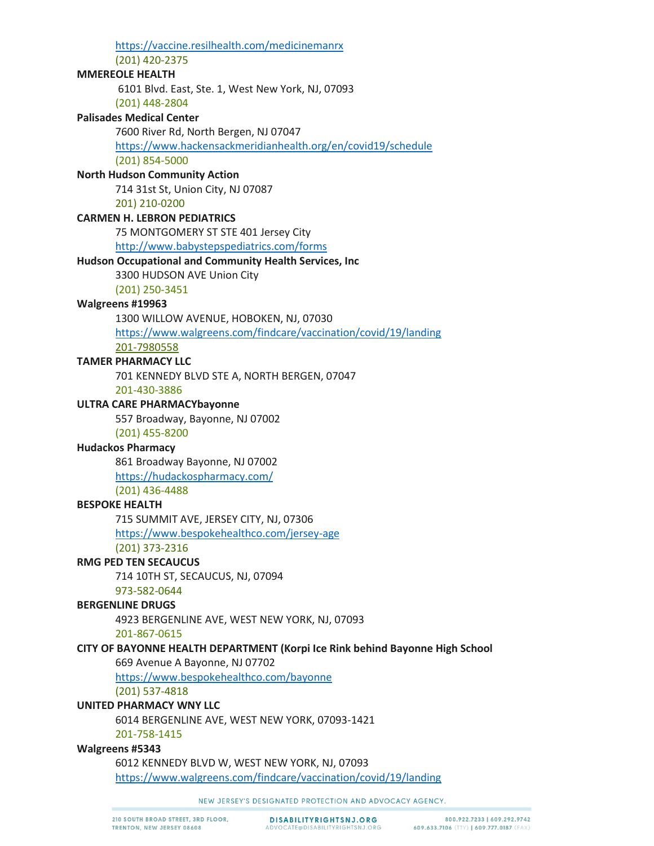https://vaccine.resilhealth.com/medicinemanrx (201) 420-2375 **MMEREOLE HEALTH** 6101 Blvd. East, Ste. 1, West New York, NJ, 07093 (201) 448-2804 **Palisades Medical Center** 7600 River Rd, North Bergen, NJ 07047 https://www.hackensackmeridianhealth.org/en/covid19/schedule (201) 854-5000 **North Hudson Community Action** 714 31st St, Union City, NJ 07087 201) 210-0200 **CARMEN H. LEBRON PEDIATRICS** 75 MONTGOMERY ST STE 401 Jersey City http://www.babystepspediatrics.com/forms **Hudson Occupational and Community Health Services, Inc.** 3300 HUDSON AVE Union City  $(201)$  250-3451 Walgreens #19963 1300 WILLOW AVENUE, HOBOKEN, NJ, 07030 https://www.walgreens.com/findcare/vaccination/covid/19/landing 201-7980558 **TAMER PHARMACY LLC** 701 KENNEDY BLVD STE A, NORTH BERGEN, 07047 201-430-3886 **ULTRA CARE PHARMACYbayonne** 557 Broadway, Bayonne, NJ 07002 (201) 455-8200 **Hudackos Pharmacy** 861 Broadway Bayonne, NJ 07002 https://hudackospharmacy.com/ (201) 436-4488 **BESPOKE HEALTH** 715 SUMMIT AVE, JERSEY CITY, NJ, 07306 https://www.bespokehealthco.com/jersey-age (201) 373-2316 **RMG PED TEN SECAUCUS** 714 10TH ST, SECAUCUS, NJ, 07094 973-582-0644 **BERGENLINE DRUGS** 4923 BERGENLINE AVE, WEST NEW YORK, NJ, 07093 201-867-0615 CITY OF BAYONNE HEALTH DEPARTMENT (Korpi Ice Rink behind Bayonne High School 669 Avenue A Bayonne, NJ 07702 https://www.bespokehealthco.com/bayonne  $(201)$  537-4818 **UNITED PHARMACY WNY LLC** 6014 BERGENLINE AVE, WEST NEW YORK, 07093-1421 201-758-1415 Walgreens #5343 6012 KENNEDY BLVD W, WEST NEW YORK, NJ, 07093 https://www.walgreens.com/findcare/vaccination/covid/19/landing

NEW JERSEY'S DESIGNATED PROTECTION AND ADVOCACY AGENCY.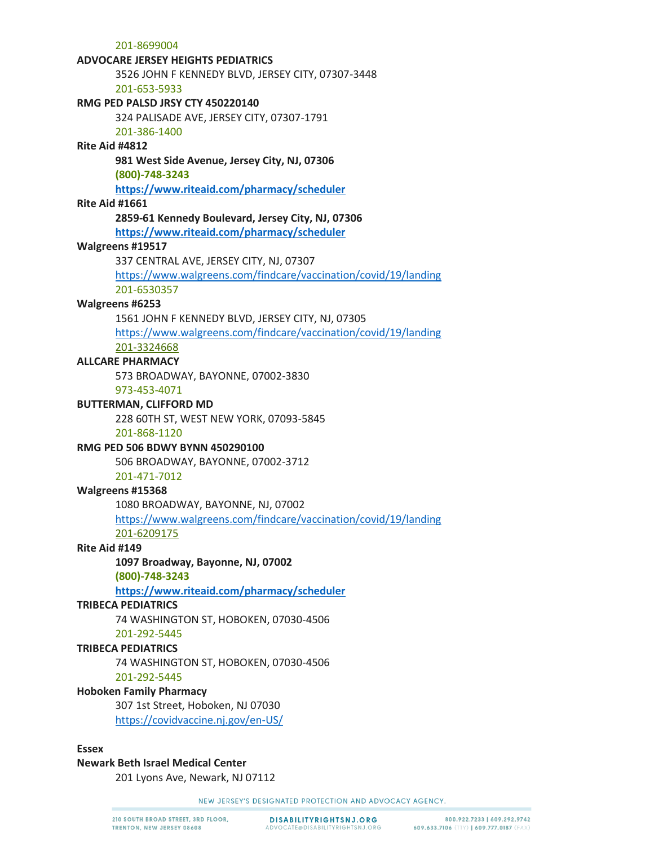201-8699004

#### **ADVOCARE JERSEY HEIGHTS PEDIATRICS**

3526 JOHN F KENNEDY BLVD, JERSEY CITY, 07307-3448 201-653-5933

#### **RMG PED PALSD JRSY CTY 450220140**

324 PALISADE AVE, JERSEY CITY, 07307-1791

## 201-386-1400

## **Rite Aid #4812**

## **981 West Side Avenue, Jersey City, NJ, 07306**

**(800)-748-3243**

**<https://www.riteaid.com/pharmacy/scheduler>**

## **Rite Aid #1661**

## **2859-61 Kennedy Boulevard, Jersey City, NJ, 07306**

**<https://www.riteaid.com/pharmacy/scheduler>**

### **Walgreens #19517**

337 CENTRAL AVE, JERSEY CITY, NJ, 07307

<https://www.walgreens.com/findcare/vaccination/covid/19/landing> 201-6530357

### **Walgreens #6253**

1561 JOHN F KENNEDY BLVD, JERSEY CITY, NJ, 07305

<https://www.walgreens.com/findcare/vaccination/covid/19/landing> 201-3324668

## **ALLCARE PHARMACY**

573 BROADWAY, BAYONNE, 07002-3830

## 973-453-4071

## **BUTTERMAN, CLIFFORD MD**

228 60TH ST, WEST NEW YORK, 07093-5845

201-868-1120

## **RMG PED 506 BDWY BYNN 450290100**

506 BROADWAY, BAYONNE, 07002-3712

## 201-471-7012

## **Walgreens #15368**

1080 BROADWAY, BAYONNE, NJ, 07002

<https://www.walgreens.com/findcare/vaccination/covid/19/landing> 201-6209175

## **Rite Aid #149**

**1097 Broadway, Bayonne, NJ, 07002**

**(800)-748-3243**

**<https://www.riteaid.com/pharmacy/scheduler>**

#### **TRIBECA PEDIATRICS**

74 WASHINGTON ST, HOBOKEN, 07030-4506

# 201-292-5445

## **TRIBECA PEDIATRICS**

74 WASHINGTON ST, HOBOKEN, 07030-4506

## 201-292-5445

## **Hoboken Family Pharmacy**

307 1st Street, Hoboken, NJ 07030 <https://covidvaccine.nj.gov/en-US/>

### **Essex**

#### **Newark Beth Israel Medical Center**

201 Lyons Ave, Newark, NJ 07112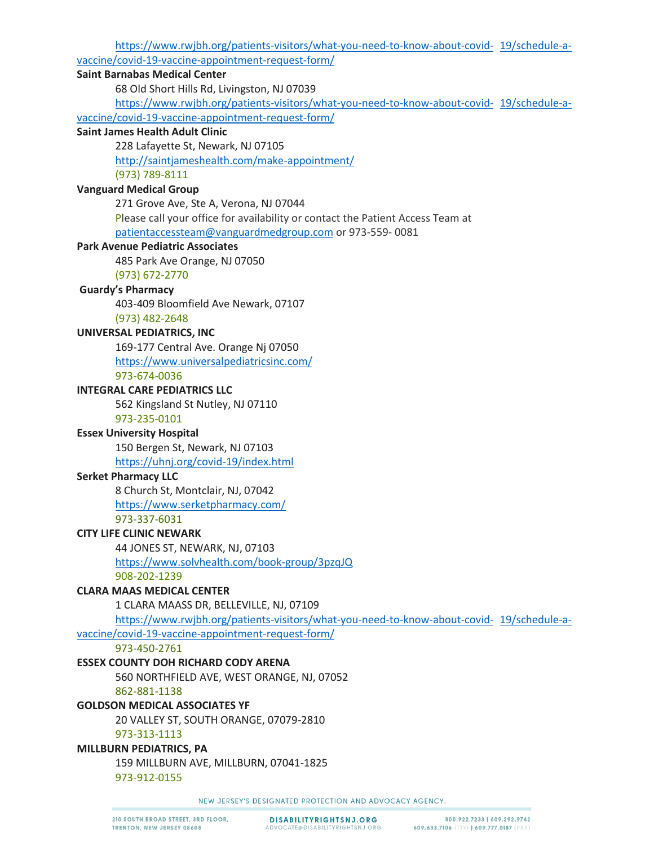[https://www.rwjbh.org/patients-visitors/what-you-need-to-know-about-covid-](https://www.rwjbh.org/patients-visitors/what-you-need-to-know-about-covid-19/schedule-a-vaccine/covid-19-vaccine-appointment-request-form/) 19/schedule-avaccine/covid-19-vaccine-appointment-request-form/

## **Saint Barnabas Medical Center**

68 Old Short Hills Rd, Livingston, NJ 07039

[https://www.rwjbh.org/patients-visitors/what-you-need-to-know-about-covid-](https://www.rwjbh.org/patients-visitors/what-you-need-to-know-about-covid-19/schedule-a-vaccine/covid-19-vaccine-appointment-request-form/) 19/schedule-avaccine/covid-19-vaccine-appointment-request-form/

## **Saint James Health Adult Clinic**

228 Lafayette St, Newark, NJ 07105

<http://saintjameshealth.com/make-appointment/>

# (973) 789-8111

# **Vanguard Medical Group**

271 Grove Ave, Ste A, Verona, NJ 07044 Please call your office for availability or contact the Patient Access Team at [patientaccessteam@vanguardmedgroup.com](mailto:patientaccessteam@vanguardmedgroup.com) or 973-559- 0081

## **Park Avenue Pediatric Associates**

485 Park Ave Orange, NJ 07050

(973) 672-2770

## **Guardy's Pharmacy**

403-409 Bloomfield Ave Newark, 07107 (973) 482-2648

# **UNIVERSAL PEDIATRICS, INC**

169-177 Central Ave. Orange Nj 07050 <https://www.universalpediatricsinc.com/> 973-674-0036

## **INTEGRAL CARE PEDIATRICS LLC**

562 Kingsland St Nutley, NJ 07110

# 973-235-0101

# **Essex University Hospital**

150 Bergen St, Newark, NJ 07103

<https://uhnj.org/covid-19/index.html>

## **Serket Pharmacy LLC**

8 Church St, Montclair, NJ, 07042 <https://www.serketpharmacy.com/> 973-337-6031

# **CITY LIFE CLINIC NEWARK**

44 JONES ST, NEWARK, NJ, 07103 <https://www.solvhealth.com/book-group/3pzqJQ> 908-202-1239

# **CLARA MAAS MEDICAL CENTER**

1 CLARA MAASS DR, BELLEVILLE, NJ, 07109

[https://www.rwjbh.org/patients-visitors/what-you-need-to-know-about-covid-](https://www.rwjbh.org/patients-visitors/what-you-need-to-know-about-covid-19/schedule-a-vaccine/covid-19-vaccine-appointment-request-form/) 19/schedule-a-

vaccine/covid-19-vaccine-appointment-request-form/

973-450-2761

# **ESSEX COUNTY DOH RICHARD CODY ARENA**

560 NORTHFIELD AVE, WEST ORANGE, NJ, 07052

862-881-1138

# **GOLDSON MEDICAL ASSOCIATES YF**

20 VALLEY ST, SOUTH ORANGE, 07079-2810

973-313-1113

## **MILLBURN PEDIATRICS, PA**

159 MILLBURN AVE, MILLBURN, 07041-1825

973-912-0155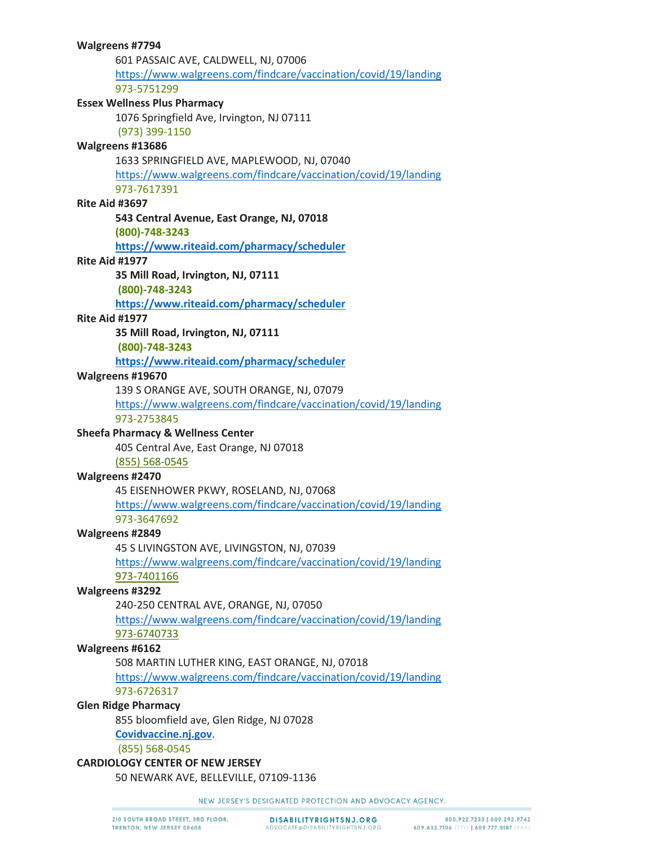601 PASSAIC AVE, CALDWELL, NJ, 07006 <https://www.walgreens.com/findcare/vaccination/covid/19/landing> 973-5751299 **Essex Wellness Plus Pharmacy** 1076 Springfield Ave, Irvington, NJ 07111 (973) 399-1150 **Walgreens #13686** 1633 SPRINGFIELD AVE, MAPLEWOOD, NJ, 07040 <https://www.walgreens.com/findcare/vaccination/covid/19/landing> 973-7617391 **Rite Aid #3697 543 Central Avenue, East Orange, NJ, 07018 (800)-748-3243 <https://www.riteaid.com/pharmacy/scheduler> Rite Aid #1977 35 Mill Road, Irvington, NJ, 07111 (800)-748-3243 <https://www.riteaid.com/pharmacy/scheduler> Rite Aid #1977 35 Mill Road, Irvington, NJ, 07111 (800)-748-3243 <https://www.riteaid.com/pharmacy/scheduler> Walgreens #19670** 139 S ORANGE AVE, SOUTH ORANGE, NJ, 07079 <https://www.walgreens.com/findcare/vaccination/covid/19/landing> 973-2753845 **Sheefa Pharmacy & Wellness Center** 405 Central Ave, East Orange, NJ 07018 (855) 568-0545 **Walgreens #2470** 45 EISENHOWER PKWY, ROSELAND, NJ, 07068 <https://www.walgreens.com/findcare/vaccination/covid/19/landing> 973-3647692 **Walgreens #2849** 45 S LIVINGSTON AVE, LIVINGSTON, NJ, 07039 <https://www.walgreens.com/findcare/vaccination/covid/19/landing> 973-7401166 **Walgreens #3292** 240-250 CENTRAL AVE, ORANGE, NJ, 07050 <https://www.walgreens.com/findcare/vaccination/covid/19/landing> 973-6740733 **Walgreens #6162** 508 MARTIN LUTHER KING, EAST ORANGE, NJ, 07018 <https://www.walgreens.com/findcare/vaccination/covid/19/landing> 973-6726317 **Glen Ridge Pharmacy** 855 bloomfield ave, Glen Ridge, NJ 07028 **[Covidvaccine.nj.gov](https://covidvaccine.nj.gov/)**. (855) 568-0545 **CARDIOLOGY CENTER OF NEW JERSEY** 50 NEWARK AVE, BELLEVILLE, 07109-1136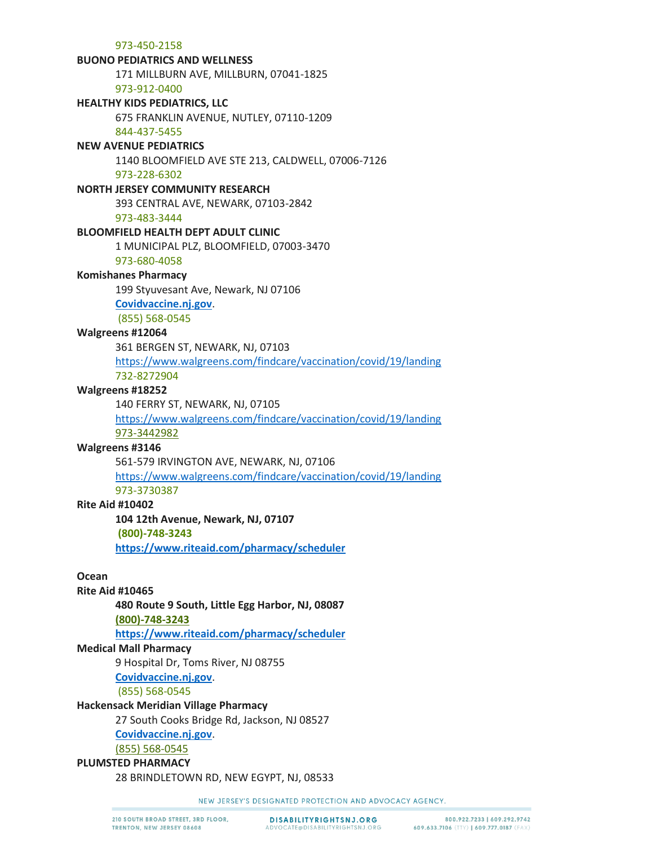973-450-2158

#### **BUONO PEDIATRICS AND WELLNESS**

171 MILLBURN AVE, MILLBURN, 07041-1825

973-912-0400

# **HEALTHY KIDS PEDIATRICS, LLC**

675 FRANKLIN AVENUE, NUTLEY, 07110-1209

#### 844-437-5455

#### **NEW AVENUE PEDIATRICS**

1140 BLOOMFIELD AVE STE 213, CALDWELL, 07006-7126

973-228-6302

#### **NORTH JERSEY COMMUNITY RESEARCH**

393 CENTRAL AVE, NEWARK, 07103-2842

973-483-3444

#### **BLOOMFIELD HEALTH DEPT ADULT CLINIC**

1 MUNICIPAL PLZ, BLOOMFIELD, 07003-3470

# 973-680-4058

# **Komishanes Pharmacy**

199 Styuvesant Ave, Newark, NJ 07106

#### **[Covidvaccine.nj.gov](https://covidvaccine.nj.gov/)**.

(855) 568-0545

### **Walgreens #12064**

361 BERGEN ST, NEWARK, NJ, 07103 <https://www.walgreens.com/findcare/vaccination/covid/19/landing> 732-8272904

#### **Walgreens #18252**

140 FERRY ST, NEWARK, NJ, 07105

<https://www.walgreens.com/findcare/vaccination/covid/19/landing> 973-3442982

#### **Walgreens #3146**

561-579 IRVINGTON AVE, NEWARK, NJ, 07106

<https://www.walgreens.com/findcare/vaccination/covid/19/landing> 973-3730387

#### **Rite Aid #10402**

**104 12th Avenue, Newark, NJ, 07107**

**(800)-748-3243**

**<https://www.riteaid.com/pharmacy/scheduler>**

## **Ocean**

### **Rite Aid #10465**

**480 Route 9 South, Little Egg Harbor, NJ, 08087**

**(800)-748-3243**

**<https://www.riteaid.com/pharmacy/scheduler>**

## **Medical Mall Pharmacy**

9 Hospital Dr, Toms River, NJ 08755

**[Covidvaccine.nj.gov](https://covidvaccine.nj.gov/)**.

(855) 568-0545

## **Hackensack Meridian Village Pharmacy**

27 South Cooks Bridge Rd, Jackson, NJ 08527

# **[Covidvaccine.nj.gov](https://covidvaccine.nj.gov/)**.

(855) 568-0545

# **PLUMSTED PHARMACY**

28 BRINDLETOWN RD, NEW EGYPT, NJ, 08533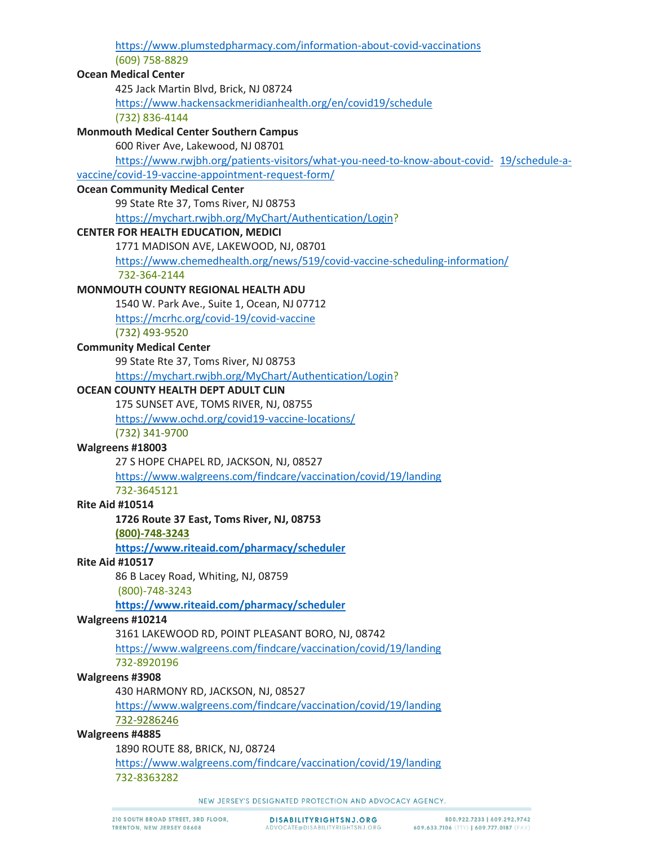| https://www.plumstedpharmacy.com/information-about-covid-vaccinations                     |  |
|-------------------------------------------------------------------------------------------|--|
| (609) 758-8829                                                                            |  |
| <b>Ocean Medical Center</b>                                                               |  |
| 425 Jack Martin Blvd, Brick, NJ 08724                                                     |  |
| https://www.hackensackmeridianhealth.org/en/covid19/schedule                              |  |
| (732) 836-4144                                                                            |  |
| <b>Monmouth Medical Center Southern Campus</b>                                            |  |
| 600 River Ave, Lakewood, NJ 08701                                                         |  |
| https://www.rwjbh.org/patients-visitors/what-you-need-to-know-about-covid- 19/schedule-a- |  |
| vaccine/covid-19-vaccine-appointment-request-form/                                        |  |
| <b>Ocean Community Medical Center</b>                                                     |  |
| 99 State Rte 37, Toms River, NJ 08753                                                     |  |
| https://mychart.rwjbh.org/MyChart/Authentication/Login?                                   |  |
| <b>CENTER FOR HEALTH EDUCATION, MEDICI</b>                                                |  |
| 1771 MADISON AVE, LAKEWOOD, NJ, 08701                                                     |  |
| https://www.chemedhealth.org/news/519/covid-vaccine-scheduling-information/               |  |
| 732-364-2144                                                                              |  |
| MONMOUTH COUNTY REGIONAL HEALTH ADU                                                       |  |
| 1540 W. Park Ave., Suite 1, Ocean, NJ 07712                                               |  |
| https://mcrhc.org/covid-19/covid-vaccine                                                  |  |
| (732) 493-9520                                                                            |  |
| <b>Community Medical Center</b>                                                           |  |
| 99 State Rte 37, Toms River, NJ 08753                                                     |  |
| https://mychart.rwjbh.org/MyChart/Authentication/Login?                                   |  |
| OCEAN COUNTY HEALTH DEPT ADULT CLIN                                                       |  |
| 175 SUNSET AVE, TOMS RIVER, NJ, 08755                                                     |  |
| https://www.ochd.org/covid19-vaccine-locations/                                           |  |
| (732) 341-9700                                                                            |  |
| Walgreens #18003                                                                          |  |
| 27 S HOPE CHAPEL RD, JACKSON, NJ, 08527                                                   |  |
| https://www.walgreens.com/findcare/vaccination/covid/19/landing                           |  |
| 732-3645121                                                                               |  |
| <b>Rite Aid #10514</b>                                                                    |  |
| 1726 Route 37 East, Toms River, NJ, 08753                                                 |  |
| (800)-748-3243                                                                            |  |
| https://www.riteaid.com/pharmacy/scheduler                                                |  |
| <b>Rite Aid #10517</b>                                                                    |  |
| 86 B Lacey Road, Whiting, NJ, 08759                                                       |  |
| (800)-748-3243                                                                            |  |
| https://www.riteaid.com/pharmacy/scheduler                                                |  |
| Walgreens #10214                                                                          |  |
| 3161 LAKEWOOD RD, POINT PLEASANT BORO, NJ, 08742                                          |  |
| https://www.walgreens.com/findcare/vaccination/covid/19/landing                           |  |
| 732-8920196                                                                               |  |
| Walgreens #3908                                                                           |  |
| 430 HARMONY RD, JACKSON, NJ, 08527                                                        |  |
| https://www.walgreens.com/findcare/vaccination/covid/19/landing                           |  |
| 732-9286246                                                                               |  |
| Walgreens #4885                                                                           |  |
| 1890 ROUTE 88, BRICK, NJ, 08724                                                           |  |
| https://www.walgreens.com/findcare/vaccination/covid/19/landing                           |  |
| 732-8363282                                                                               |  |
|                                                                                           |  |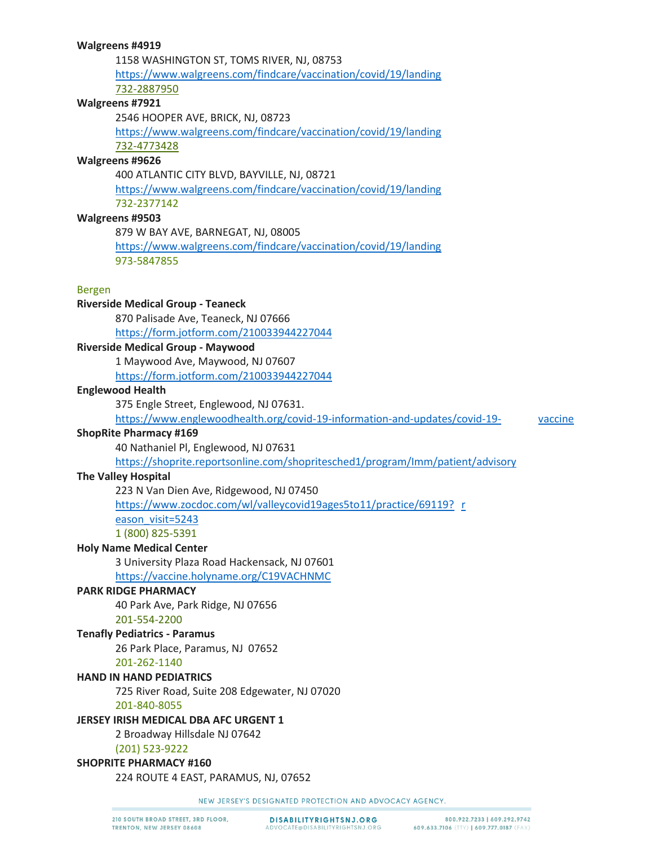1158 WASHINGTON ST, TOMS RIVER, NJ, 08753 <https://www.walgreens.com/findcare/vaccination/covid/19/landing> 732-2887950 **Walgreens #7921**

2546 HOOPER AVE, BRICK, NJ, 08723 <https://www.walgreens.com/findcare/vaccination/covid/19/landing> 732-4773428

#### **Walgreens #9626**

400 ATLANTIC CITY BLVD, BAYVILLE, NJ, 08721

<https://www.walgreens.com/findcare/vaccination/covid/19/landing> 732-2377142

#### **Walgreens #9503**

879 W BAY AVE, BARNEGAT, NJ, 08005

<https://www.walgreens.com/findcare/vaccination/covid/19/landing> 973-5847855

#### Bergen

**Riverside Medical Group - Teaneck**

870 Palisade Ave, Teaneck, NJ 07666

<https://form.jotform.com/210033944227044>

## **Riverside Medical Group - Maywood**

1 Maywood Ave, Maywood, NJ 07607 <https://form.jotform.com/210033944227044>

#### **Englewood Health**

375 Engle Street, Englewood, NJ 07631.

[https://www.englewoodhealth.org/covid-19-information-and-updates/covid-19-](https://www.englewoodhealth.org/covid-19-information-and-updates/covid-19-vaccine) vaccine

#### **ShopRite Pharmacy #169**

40 Nathaniel Pl, Englewood, NJ 07631

<https://shoprite.reportsonline.com/shopritesched1/program/Imm/patient/advisory>

## **The Valley Hospital**

223 N Van Dien Ave, Ridgewood, NJ 07450

[https://www.zocdoc.com/wl/valleycovid19ages5to11/practice/69119?](https://www.zocdoc.com/wl/valleycovid19ages5to11/practice/69119?reason_visit=5243) r

eason\_visit=5243

1 (800) 825-5391

### **Holy Name Medical Center**

3 University Plaza Road Hackensack, NJ 07601 <https://vaccine.holyname.org/C19VACHNMC>

#### **PARK RIDGE PHARMACY**

40 Park Ave, Park Ridge, NJ 07656 201-554-2200

#### **Tenafly Pediatrics - Paramus**

26 Park Place, Paramus, NJ 07652

#### 201-262-1140

#### **HAND IN HAND PEDIATRICS**

725 River Road, Suite 208 Edgewater, NJ 07020

#### 201-840-8055

#### **JERSEY IRISH MEDICAL DBA AFC URGENT 1**

2 Broadway Hillsdale NJ 07642

(201) 523-9222

## **SHOPRITE PHARMACY #160**

224 ROUTE 4 EAST, PARAMUS, NJ, 07652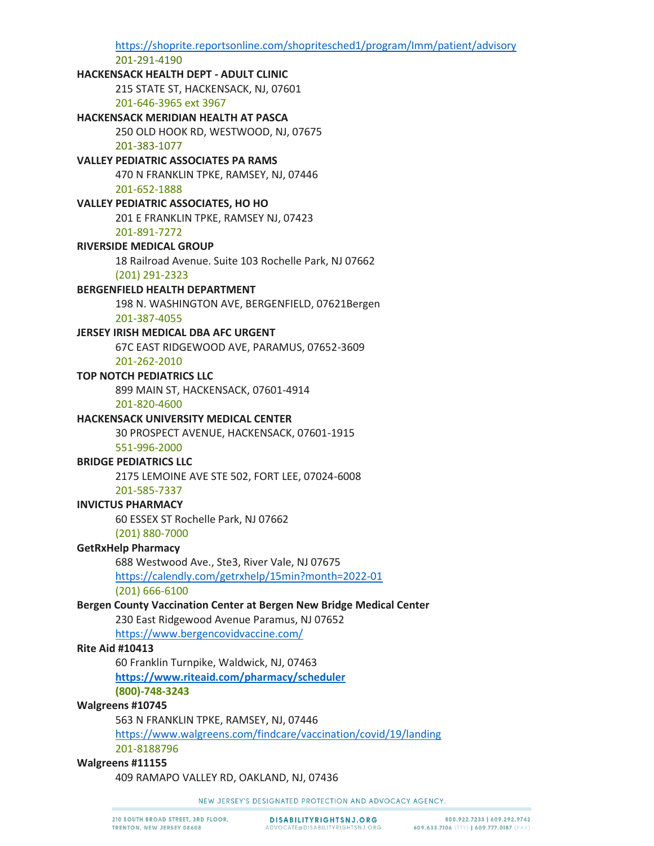https://shoprite.reportsonline.com/shopritesched1/program/Imm/patient/advisory 201-291-4190 HACKENSACK HEALTH DEPT - ADULT CLINIC 215 STATE ST, HACKENSACK, NJ, 07601 201-646-3965 ext 3967 **HACKENSACK MERIDIAN HEALTH AT PASCA** 250 OLD HOOK RD, WESTWOOD, NJ, 07675 201-383-1077 **VALLEY PEDIATRIC ASSOCIATES PA RAMS** 470 N FRANKLIN TPKE, RAMSEY, NJ, 07446 201-652-1888 **VALLEY PEDIATRIC ASSOCIATES, HO HO** 201 E FRANKLIN TPKE, RAMSEY NJ, 07423 201-891-7272 **RIVERSIDE MEDICAL GROUP** 18 Railroad Avenue. Suite 103 Rochelle Park, NJ 07662 (201) 291-2323 **BERGENFIELD HEALTH DEPARTMENT** 198 N. WASHINGTON AVE, BERGENFIELD, 07621Bergen 201-387-4055 JERSEY IRISH MEDICAL DBA AFC URGENT 67C EAST RIDGEWOOD AVE, PARAMUS, 07652-3609 201-262-2010 **TOP NOTCH PEDIATRICS LLC** 899 MAIN ST, HACKENSACK, 07601-4914 201-820-4600 **HACKENSACK UNIVERSITY MEDICAL CENTER** 30 PROSPECT AVENUE, HACKENSACK, 07601-1915 551-996-2000 **BRIDGE PEDIATRICS LLC** 2175 LEMOINE AVE STE 502, FORT LEE, 07024-6008 201-585-7337 **INVICTUS PHARMACY** 60 ESSEX ST Rochelle Park, NJ 07662  $(201)$  880-7000 **GetRxHelp Pharmacy** 688 Westwood Ave., Ste3, River Vale, NJ 07675 https://calendly.com/getrxhelp/15min?month=2022-01  $(201) 666 - 6100$ Bergen County Vaccination Center at Bergen New Bridge Medical Center 230 East Ridgewood Avenue Paramus, NJ 07652 https://www.bergencovidvaccine.com/ **Rite Aid #10413** 60 Franklin Turnpike, Waldwick, NJ, 07463 https://www.riteaid.com/pharmacy/scheduler (800)-748-3243 Walgreens #10745 563 N FRANKLIN TPKE, RAMSEY, NJ, 07446 https://www.walgreens.com/findcare/vaccination/covid/19/landing 201-8188796 Walgreens #11155 409 RAMAPO VALLEY RD, OAKLAND, NJ, 07436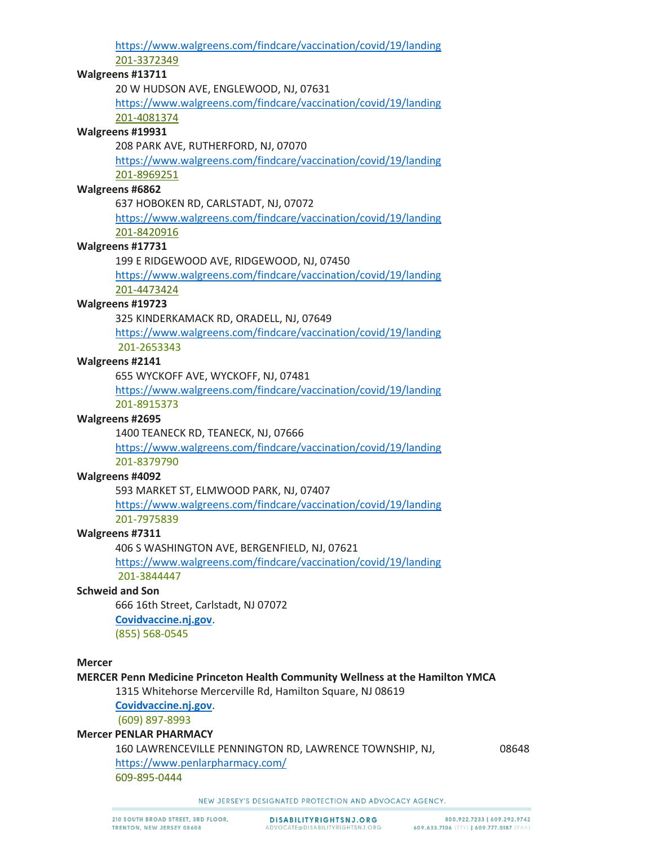<https://www.walgreens.com/findcare/vaccination/covid/19/landing> 201-3372349 **Walgreens #13711** 20 W HUDSON AVE, ENGLEWOOD, NJ, 07631 <https://www.walgreens.com/findcare/vaccination/covid/19/landing> 201-4081374 **Walgreens #19931** 208 PARK AVE, RUTHERFORD, NJ, 07070 <https://www.walgreens.com/findcare/vaccination/covid/19/landing> 201-8969251 **Walgreens #6862** 637 HOBOKEN RD, CARLSTADT, NJ, 07072 <https://www.walgreens.com/findcare/vaccination/covid/19/landing> 201-8420916 **Walgreens #17731** 199 E RIDGEWOOD AVE, RIDGEWOOD, NJ, 07450 <https://www.walgreens.com/findcare/vaccination/covid/19/landing> 201-4473424 **Walgreens #19723** 325 KINDERKAMACK RD, ORADELL, NJ, 07649 <https://www.walgreens.com/findcare/vaccination/covid/19/landing> 201-2653343 **Walgreens #2141** 655 WYCKOFF AVE, WYCKOFF, NJ, 07481 <https://www.walgreens.com/findcare/vaccination/covid/19/landing> 201-8915373 **Walgreens #2695** 1400 TEANECK RD, TEANECK, NJ, 07666 <https://www.walgreens.com/findcare/vaccination/covid/19/landing> 201-8379790 **Walgreens #4092** 593 MARKET ST, ELMWOOD PARK, NJ, 07407 <https://www.walgreens.com/findcare/vaccination/covid/19/landing> 201-7975839 **Walgreens #7311** 406 S WASHINGTON AVE, BERGENFIELD, NJ, 07621 <https://www.walgreens.com/findcare/vaccination/covid/19/landing> 201-3844447 **Schweid and Son** 666 16th Street, Carlstadt, NJ 07072 **[Covidvaccine.nj.gov](https://covidvaccine.nj.gov/)**. (855) 568-0545 **Mercer**

#### **MERCER Penn Medicine Princeton Health Community Wellness at the Hamilton YMCA**

1315 Whitehorse Mercerville Rd, Hamilton Square, NJ 08619

**[Covidvaccine.nj.gov](https://covidvaccine.nj.gov/)**.

(609) 897-8993

# **Mercer PENLAR PHARMACY**

160 LAWRENCEVILLE PENNINGTON RD, LAWRENCE TOWNSHIP, NJ, 08648 <https://www.penlarpharmacy.com/> 609-895-0444

NEW JERSEY'S DESIGNATED PROTECTION AND ADVOCACY AGENCY.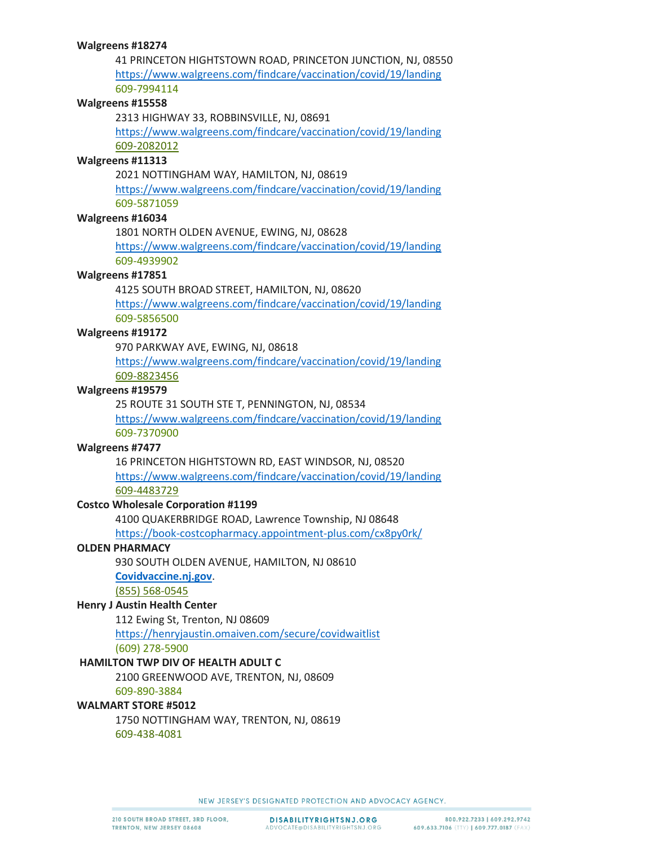41 PRINCETON HIGHTSTOWN ROAD, PRINCETON JUNCTION, NJ, 08550 <https://www.walgreens.com/findcare/vaccination/covid/19/landing> 609-7994114

### **Walgreens #15558**

2313 HIGHWAY 33, ROBBINSVILLE, NJ, 08691

<https://www.walgreens.com/findcare/vaccination/covid/19/landing> 609-2082012

## **Walgreens #11313**

2021 NOTTINGHAM WAY, HAMILTON, NJ, 08619

<https://www.walgreens.com/findcare/vaccination/covid/19/landing> 609-5871059

## **Walgreens #16034**

1801 NORTH OLDEN AVENUE, EWING, NJ, 08628

<https://www.walgreens.com/findcare/vaccination/covid/19/landing> 609-4939902

#### **Walgreens #17851**

4125 SOUTH BROAD STREET, HAMILTON, NJ, 08620

<https://www.walgreens.com/findcare/vaccination/covid/19/landing> 609-5856500

# **Walgreens #19172**

970 PARKWAY AVE, EWING, NJ, 08618

<https://www.walgreens.com/findcare/vaccination/covid/19/landing> 609-8823456

#### **Walgreens #19579**

25 ROUTE 31 SOUTH STE T, PENNINGTON, NJ, 08534

<https://www.walgreens.com/findcare/vaccination/covid/19/landing> 609-7370900

#### **Walgreens #7477**

16 PRINCETON HIGHTSTOWN RD, EAST WINDSOR, NJ, 08520 <https://www.walgreens.com/findcare/vaccination/covid/19/landing> 609-4483729

#### **Costco Wholesale Corporation #1199**

4100 QUAKERBRIDGE ROAD, Lawrence Township, NJ 08648 <https://book-costcopharmacy.appointment-plus.com/cx8py0rk/>

### **OLDEN PHARMACY**

930 SOUTH OLDEN AVENUE, HAMILTON, NJ 08610

# **[Covidvaccine.nj.gov](https://covidvaccine.nj.gov/)**.

(855) 568-0545

## **Henry J Austin Health Center**

112 Ewing St, Trenton, NJ 08609

<https://henryjaustin.omaiven.com/secure/covidwaitlist> (609) 278-5900

#### **HAMILTON TWP DIV OF HEALTH ADULT C**

2100 GREENWOOD AVE, TRENTON, NJ, 08609 609-890-3884

#### **WALMART STORE #5012**

1750 NOTTINGHAM WAY, TRENTON, NJ, 08619 609-438-4081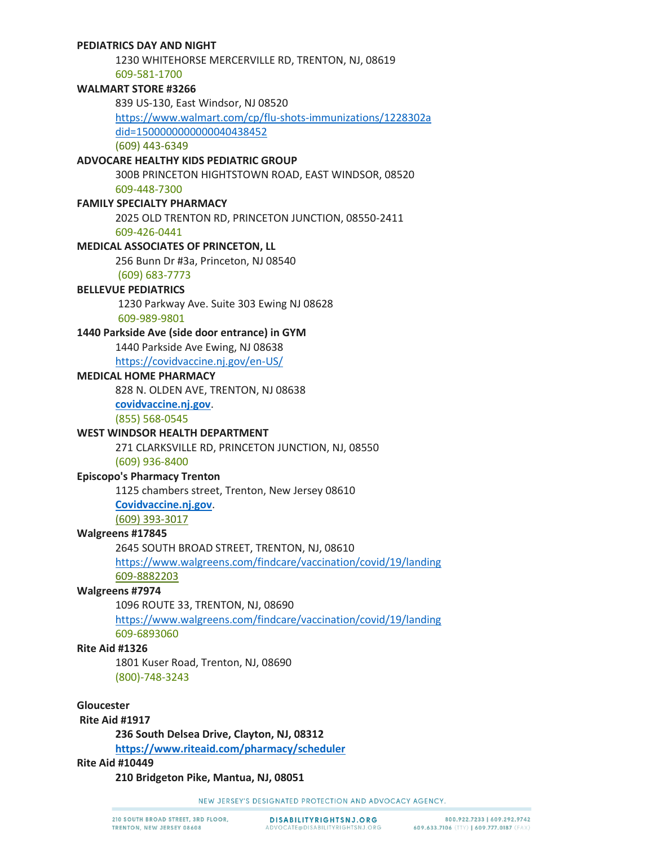### **PEDIATRICS DAY AND NIGHT**

1230 WHITEHORSE MERCERVILLE RD, TRENTON, NJ, 08619 609-581-1700

#### **WALMART STORE #3266**

839 US-130, East Windsor, NJ 08520

[https://www.walmart.com/cp/flu-shots-immunizations/1228302a](https://www.walmart.com/cp/flu-shots-immunizations/1228302?adid=1500000000000040438452) did=1500000000000040438452

(609) 443-6349

## **ADVOCARE HEALTHY KIDS PEDIATRIC GROUP**

300B PRINCETON HIGHTSTOWN ROAD, EAST WINDSOR, 08520 609-448-7300

## **FAMILY SPECIALTY PHARMACY**

2025 OLD TRENTON RD, PRINCETON JUNCTION, 08550-2411 609-426-0441

#### **MEDICAL ASSOCIATES OF PRINCETON, LL**

256 Bunn Dr #3a, Princeton, NJ 08540

(609) 683-7773

#### **BELLEVUE PEDIATRICS**

1230 Parkway Ave. Suite 303 Ewing NJ 08628 609-989-9801

## **1440 Parkside Ave (side door entrance) in GYM**

1440 Parkside Ave Ewing, NJ 08638

<https://covidvaccine.nj.gov/en-US/>

### **MEDICAL HOME PHARMACY**

828 N. OLDEN AVE, TRENTON, NJ 08638

**[covidvaccine.nj.gov](https://covidvaccine.nj.gov/)**.

(855) 568-0545

#### **WEST WINDSOR HEALTH DEPARTMENT**

271 CLARKSVILLE RD, PRINCETON JUNCTION, NJ, 08550 (609) 936-8400

## **Episcopo's Pharmacy Trenton**

1125 chambers street, Trenton, New Jersey 08610

**[Covidvaccine.nj.gov](https://covidvaccine.nj.gov/)**.

(609) 393-3017

### **Walgreens #17845**

2645 SOUTH BROAD STREET, TRENTON, NJ, 08610 <https://www.walgreens.com/findcare/vaccination/covid/19/landing>

609-8882203

### **Walgreens #7974**

1096 ROUTE 33, TRENTON, NJ, 08690

<https://www.walgreens.com/findcare/vaccination/covid/19/landing> 609-6893060

#### **Rite Aid #1326**

1801 Kuser Road, Trenton, NJ, 08690 (800)-748-3243

**Gloucester**

#### **Rite Aid #1917**

**236 South Delsea Drive, Clayton, NJ, 08312**

**<https://www.riteaid.com/pharmacy/scheduler>**

## **Rite Aid #10449**

**210 Bridgeton Pike, Mantua, NJ, 08051**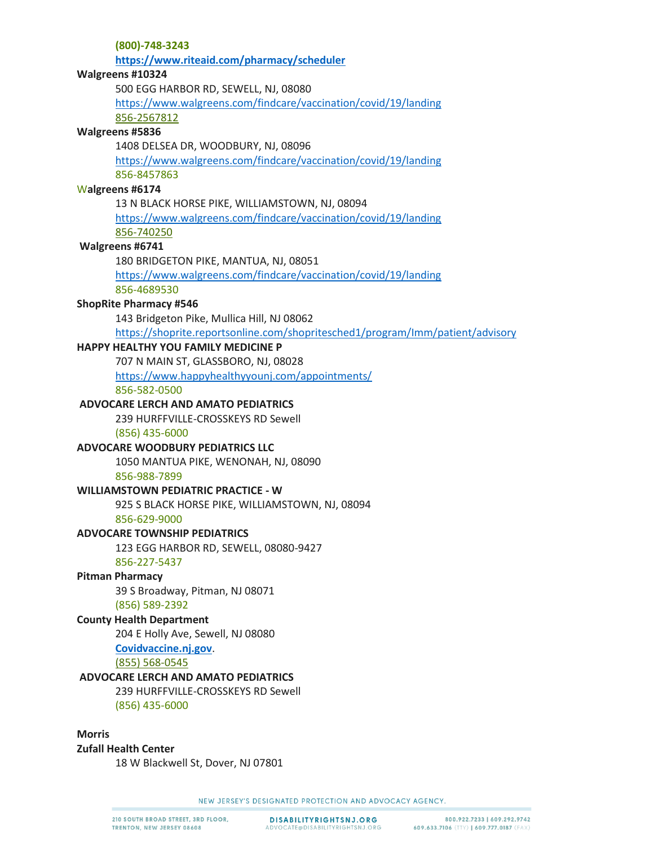**(800)-748-3243 <https://www.riteaid.com/pharmacy/scheduler> Walgreens #10324** 500 EGG HARBOR RD, SEWELL, NJ, 08080 <https://www.walgreens.com/findcare/vaccination/covid/19/landing> 856-2567812 **Walgreens #5836** 1408 DELSEA DR, WOODBURY, NJ, 08096 <https://www.walgreens.com/findcare/vaccination/covid/19/landing> 856-8457863 W**algreens #6174** 13 N BLACK HORSE PIKE, WILLIAMSTOWN, NJ, 08094 <https://www.walgreens.com/findcare/vaccination/covid/19/landing> 856-740250 **Walgreens #6741** 180 BRIDGETON PIKE, MANTUA, NJ, 08051 <https://www.walgreens.com/findcare/vaccination/covid/19/landing> 856-4689530 **ShopRite Pharmacy #546** 143 Bridgeton Pike, Mullica Hill, NJ 08062 <https://shoprite.reportsonline.com/shopritesched1/program/Imm/patient/advisory> **HAPPY HEALTHY YOU FAMILY MEDICINE P** 707 N MAIN ST, GLASSBORO, NJ, 08028 <https://www.happyhealthyyounj.com/appointments/> 856-582-0500 **ADVOCARE LERCH AND AMATO PEDIATRICS** 239 HURFFVILLE-CROSSKEYS RD Sewell (856) 435-6000 **ADVOCARE WOODBURY PEDIATRICS LLC** 1050 MANTUA PIKE, WENONAH, NJ, 08090 856-988-7899 **WILLIAMSTOWN PEDIATRIC PRACTICE - W** 925 S BLACK HORSE PIKE, WILLIAMSTOWN, NJ, 08094 856-629-9000 **ADVOCARE TOWNSHIP PEDIATRICS** 123 EGG HARBOR RD, SEWELL, 08080-9427 856-227-5437 **Pitman Pharmacy** 39 S Broadway, Pitman, NJ 08071 (856) 589-2392 **County Health Department** 204 E Holly Ave, Sewell, NJ 08080 **[Covidvaccine.nj.gov](https://covidvaccine.nj.gov/)**. (855) 568-0545 **ADVOCARE LERCH AND AMATO PEDIATRICS** 239 HURFFVILLE-CROSSKEYS RD Sewell (856) 435-6000 **Morris** 

**Zufall Health Center** 18 W Blackwell St, Dover, NJ 07801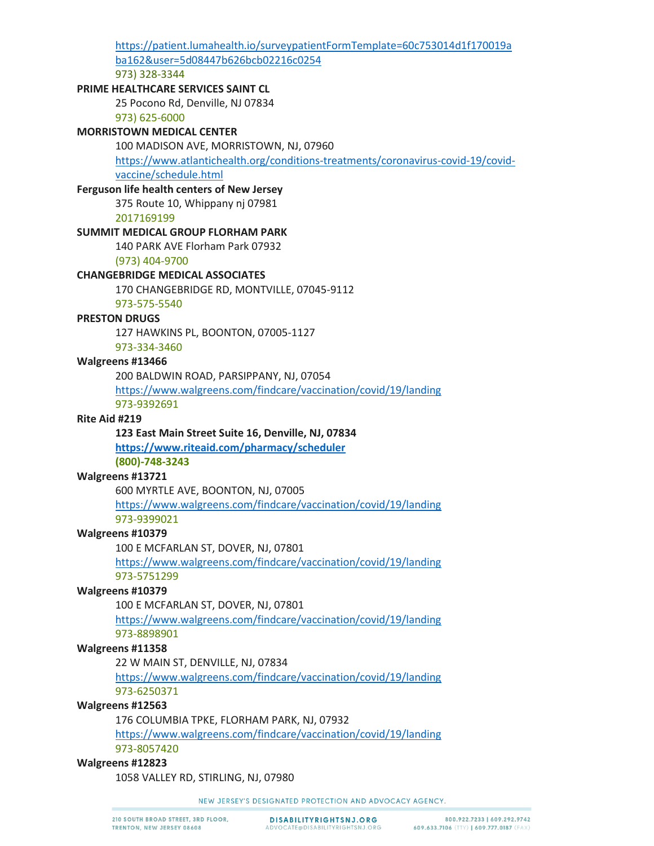[https://patient.lumahealth.io/surveypatientFormTemplate=60c753014d1f170019a](https://patient.lumahealth.io/survey?patientFormTemplate=60c753014d1f170019aba162&user=5d08447b626bcb02216c0254) ba162&user=5d08447b626bcb02216c0254 973) 328-3344 **PRIME HEALTHCARE SERVICES SAINT CL** 25 Pocono Rd, Denville, NJ 07834 973) 625-6000 **MORRISTOWN MEDICAL CENTER** 100 MADISON AVE, MORRISTOWN, NJ, 07960 [https://www.atlantichealth.org/conditions-treatments/coronavirus-covid-19/covid](https://www.atlantichealth.org/conditions-treatments/coronavirus-covid-19/covid-vaccine/schedule.html)vaccine/schedule.html **Ferguson life health centers of New Jersey**  375 Route 10, Whippany nj 07981 2017169199 **SUMMIT MEDICAL GROUP FLORHAM PARK** 140 PARK AVE Florham Park 07932 (973) 404-9700 **CHANGEBRIDGE MEDICAL ASSOCIATES** 170 CHANGEBRIDGE RD, MONTVILLE, 07045-9112 973-575-5540 **PRESTON DRUGS** 127 HAWKINS PL, BOONTON, 07005-1127 973-334-3460 **Walgreens #13466** 200 BALDWIN ROAD, PARSIPPANY, NJ, 07054 <https://www.walgreens.com/findcare/vaccination/covid/19/landing> 973-9392691 **Rite Aid #219 123 East Main Street Suite 16, Denville, NJ, 07834 <https://www.riteaid.com/pharmacy/scheduler> (800)-748-3243 Walgreens #13721** 600 MYRTLE AVE, BOONTON, NJ, 07005 <https://www.walgreens.com/findcare/vaccination/covid/19/landing> 973-9399021 **Walgreens #10379** 100 E MCFARLAN ST, DOVER, NJ, 07801 <https://www.walgreens.com/findcare/vaccination/covid/19/landing> 973-5751299 **Walgreens #10379** 100 E MCFARLAN ST, DOVER, NJ, 07801 <https://www.walgreens.com/findcare/vaccination/covid/19/landing> 973-8898901 **Walgreens #11358** 22 W MAIN ST, DENVILLE, NJ, 07834 <https://www.walgreens.com/findcare/vaccination/covid/19/landing> 973-6250371 **Walgreens #12563** 176 COLUMBIA TPKE, FLORHAM PARK, NJ, 07932 <https://www.walgreens.com/findcare/vaccination/covid/19/landing> 973-8057420

## **Walgreens #12823**

1058 VALLEY RD, STIRLING, NJ, 07980

NEW JERSEY'S DESIGNATED PROTECTION AND ADVOCACY AGENCY.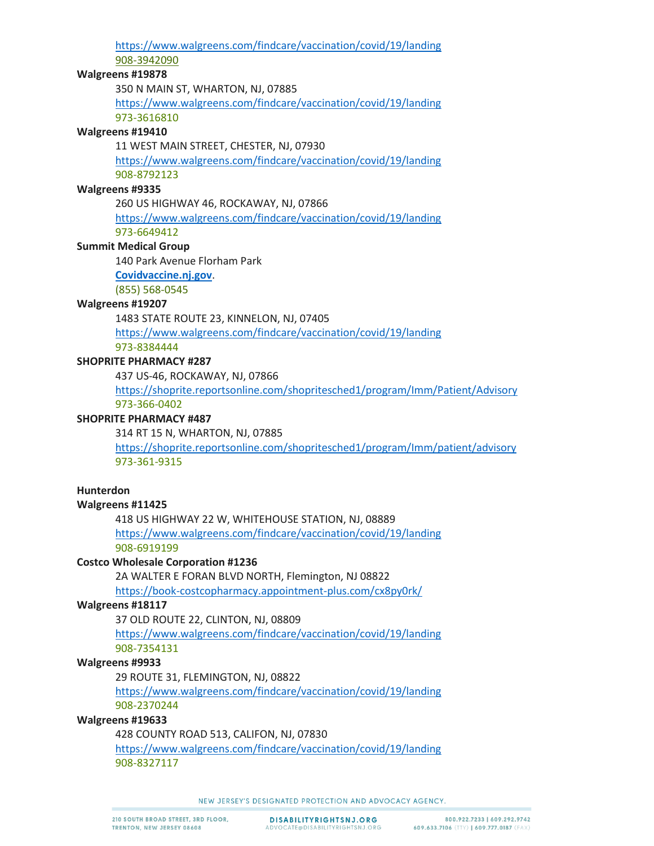<https://www.walgreens.com/findcare/vaccination/covid/19/landing> 908-3942090

#### **Walgreens #19878**

350 N MAIN ST, WHARTON, NJ, 07885

<https://www.walgreens.com/findcare/vaccination/covid/19/landing> 973-3616810

# **Walgreens #19410**

11 WEST MAIN STREET, CHESTER, NJ, 07930

<https://www.walgreens.com/findcare/vaccination/covid/19/landing> 908-8792123

## **Walgreens #9335**

260 US HIGHWAY 46, ROCKAWAY, NJ, 07866

<https://www.walgreens.com/findcare/vaccination/covid/19/landing> 973-6649412

## **Summit Medical Group**

140 Park Avenue Florham Park

### **[Covidvaccine.nj.gov](https://covidvaccine.nj.gov/)**.

(855) 568-0545

## **Walgreens #19207**

1483 STATE ROUTE 23, KINNELON, NJ, 07405

<https://www.walgreens.com/findcare/vaccination/covid/19/landing>

973-8384444

# **SHOPRITE PHARMACY #287**

437 US-46, ROCKAWAY, NJ, 07866

<https://shoprite.reportsonline.com/shopritesched1/program/Imm/Patient/Advisory> 973-366-0402

## **SHOPRITE PHARMACY #487**

314 RT 15 N, WHARTON, NJ, 07885

<https://shoprite.reportsonline.com/shopritesched1/program/Imm/patient/advisory> 973-361-9315

## **Hunterdon**

## **Walgreens #11425**

418 US HIGHWAY 22 W, WHITEHOUSE STATION, NJ, 08889 <https://www.walgreens.com/findcare/vaccination/covid/19/landing> 908-6919199

## **Costco Wholesale Corporation #1236**

2A WALTER E FORAN BLVD NORTH, Flemington, NJ 08822

<https://book-costcopharmacy.appointment-plus.com/cx8py0rk/>

## **Walgreens #18117**

37 OLD ROUTE 22, CLINTON, NJ, 08809

<https://www.walgreens.com/findcare/vaccination/covid/19/landing> 908-7354131

## **Walgreens #9933**

29 ROUTE 31, FLEMINGTON, NJ, 08822

<https://www.walgreens.com/findcare/vaccination/covid/19/landing> 908-2370244

## **Walgreens #19633**

428 COUNTY ROAD 513, CALIFON, NJ, 07830

<https://www.walgreens.com/findcare/vaccination/covid/19/landing> 908-8327117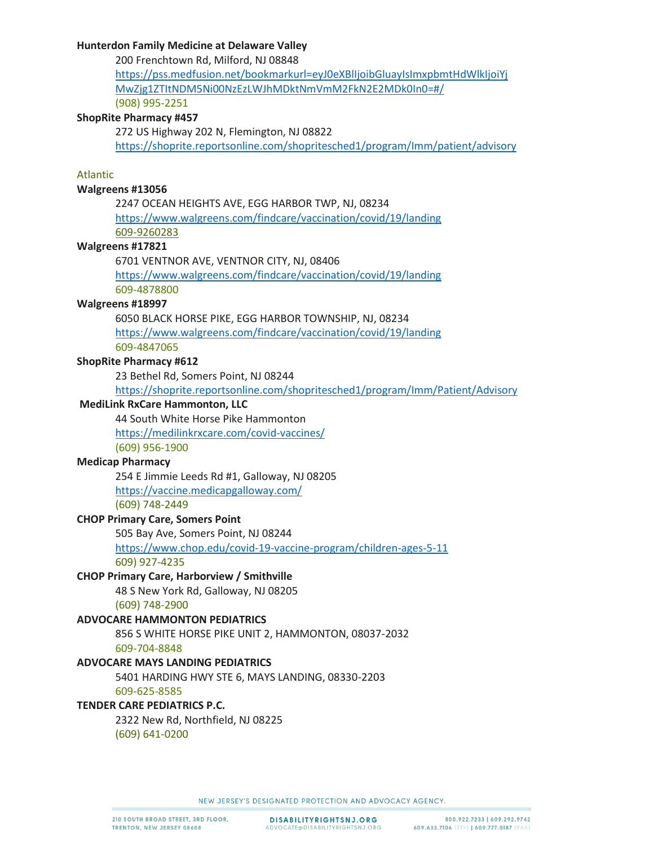## **Hunterdon Family Medicine at Delaware Valley**

200 Frenchtown Rd, Milford, NJ 08848 [https://pss.medfusion.net/bookmarkurl=eyJ0eXBlIjoibGluayIsImxpbmtHdWlkIjoiYj](https://pss.medfusion.net/?bookmarkurl=eyJ0eXBlIjoibGluayIsImxpbmtHdWlkIjoiYjMwZjg1ZTItNDM5Ni00NzEzLWJhMDktNmVmM2FkN2E2MDk0In0=#/) MwZjg1ZTItNDM5Ni00NzEzLWJhMDktNmVmM2FkN2E2MDk0In0=#/ (908) 995-2251

#### **ShopRite Pharmacy #457**

272 US Highway 202 N, Flemington, NJ 08822 <https://shoprite.reportsonline.com/shopritesched1/program/Imm/patient/advisory>

#### Atlantic

## **Walgreens #13056**

2247 OCEAN HEIGHTS AVE, EGG HARBOR TWP, NJ, 08234 <https://www.walgreens.com/findcare/vaccination/covid/19/landing> 609-9260283

#### **Walgreens #17821**

6701 VENTNOR AVE, VENTNOR CITY, NJ, 08406

<https://www.walgreens.com/findcare/vaccination/covid/19/landing> 609-4878800

#### **Walgreens #18997**

6050 BLACK HORSE PIKE, EGG HARBOR TOWNSHIP, NJ, 08234 <https://www.walgreens.com/findcare/vaccination/covid/19/landing> 609-4847065

#### **ShopRite Pharmacy #612**

23 Bethel Rd, Somers Point, NJ 08244

<https://shoprite.reportsonline.com/shopritesched1/program/Imm/Patient/Advisory>

## **MediLink RxCare Hammonton, LLC**

44 South White Horse Pike Hammonton

<https://medilinkrxcare.com/covid-vaccines/>

(609) 956-1900

## **Medicap Pharmacy**

254 E Jimmie Leeds Rd #1, Galloway, NJ 08205 <https://vaccine.medicapgalloway.com/>

(609) 748-2449

#### **CHOP Primary Care, Somers Point**

505 Bay Ave, Somers Point, NJ 08244

<https://www.chop.edu/covid-19-vaccine-program/children-ages-5-11> 609) 927-4235

#### **CHOP Primary Care, Harborview / Smithville**

48 S New York Rd, Galloway, NJ 08205

(609) 748-2900

## **ADVOCARE HAMMONTON PEDIATRICS**

856 S WHITE HORSE PIKE UNIT 2, HAMMONTON, 08037-2032

609-704-8848

#### **ADVOCARE MAYS LANDING PEDIATRICS**

5401 HARDING HWY STE 6, MAYS LANDING, 08330-2203 609-625-8585

#### **TENDER CARE PEDIATRICS P.C.**

2322 New Rd, Northfield, NJ 08225 (609) 641-0200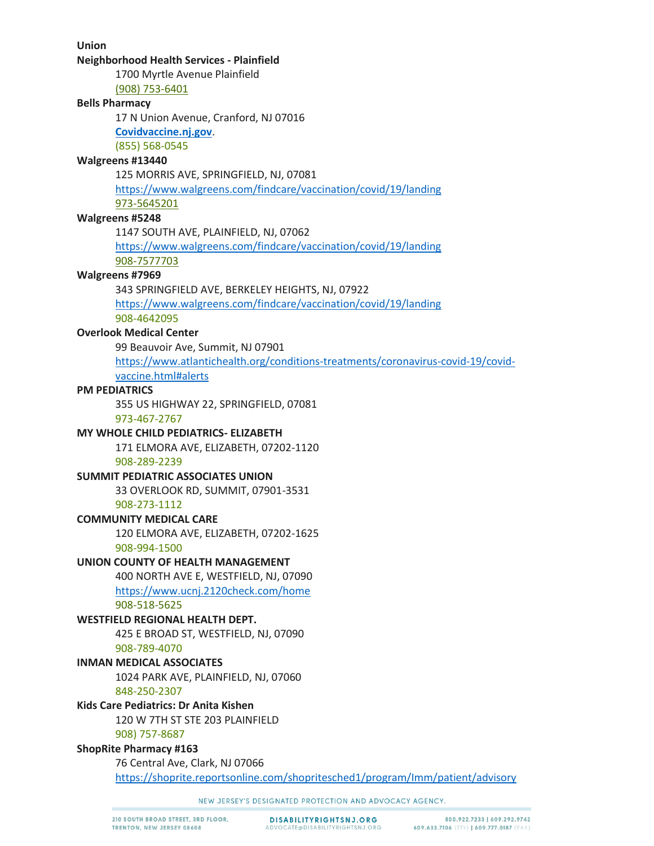**Union** 

#### **Neighborhood Health Services - Plainfield**

1700 Myrtle Avenue Plainfield

(908) 753-6401

# **Bells Pharmacy**

17 N Union Avenue, Cranford, NJ 07016

**[Covidvaccine.nj.gov](https://covidvaccine.nj.gov/)**.

(855) 568-0545

## **Walgreens #13440**

125 MORRIS AVE, SPRINGFIELD, NJ, 07081

<https://www.walgreens.com/findcare/vaccination/covid/19/landing>

973-5645201

# **Walgreens #5248**

1147 SOUTH AVE, PLAINFIELD, NJ, 07062

<https://www.walgreens.com/findcare/vaccination/covid/19/landing> 908-7577703

## **Walgreens #7969**

343 SPRINGFIELD AVE, BERKELEY HEIGHTS, NJ, 07922

<https://www.walgreens.com/findcare/vaccination/covid/19/landing> 908-4642095

## **Overlook Medical Center**

99 Beauvoir Ave, Summit, NJ 07901 [https://www.atlantichealth.org/conditions-treatments/coronavirus-covid-19/covid](https://www.atlantichealth.org/conditions-treatments/coronavirus-covid-19/covid-vaccine.html#alerts)vaccine.html#alerts

### **PM PEDIATRICS**

355 US HIGHWAY 22, SPRINGFIELD, 07081

973-467-2767

## **MY WHOLE CHILD PEDIATRICS- ELIZABETH**

171 ELMORA AVE, ELIZABETH, 07202-1120 908-289-2239

## **SUMMIT PEDIATRIC ASSOCIATES UNION**

33 OVERLOOK RD, SUMMIT, 07901-3531

## 908-273-1112

**COMMUNITY MEDICAL CARE**

120 ELMORA AVE, ELIZABETH, 07202-1625 908-994-1500

## **UNION COUNTY OF HEALTH MANAGEMENT**

400 NORTH AVE E, WESTFIELD, NJ, 07090 <https://www.ucnj.2120check.com/home>

908-518-5625

# **WESTFIELD REGIONAL HEALTH DEPT.**

425 E BROAD ST, WESTFIELD, NJ, 07090 908-789-4070

## **INMAN MEDICAL ASSOCIATES**

1024 PARK AVE, PLAINFIELD, NJ, 07060 848-250-2307

# **Kids Care Pediatrics: Dr Anita Kishen**

120 W 7TH ST STE 203 PLAINFIELD

908) 757-8687

## **ShopRite Pharmacy #163**

76 Central Ave, Clark, NJ 07066

<https://shoprite.reportsonline.com/shopritesched1/program/Imm/patient/advisory>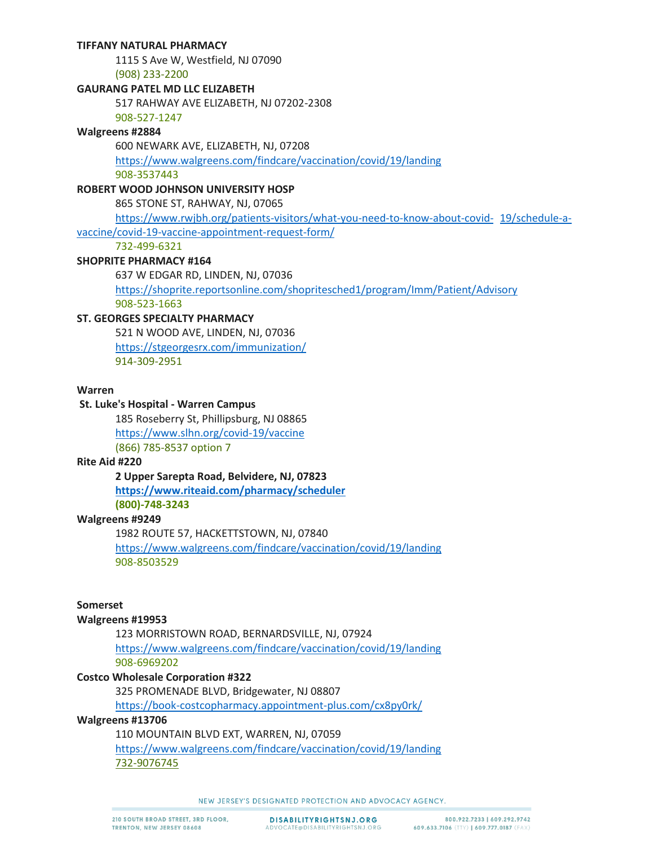## **TIFFANY NATURAL PHARMACY**

1115 S Ave W, Westfield, NJ 07090

(908) 233-2200

## **GAURANG PATEL MD LLC ELIZABETH**

517 RAHWAY AVE ELIZABETH, NJ 07202-2308

908-527-1247

## **Walgreens #2884**

600 NEWARK AVE, ELIZABETH, NJ, 07208

<https://www.walgreens.com/findcare/vaccination/covid/19/landing> 908-3537443

## **ROBERT WOOD JOHNSON UNIVERSITY HOSP**

865 STONE ST, RAHWAY, NJ, 07065

[https://www.rwjbh.org/patients-visitors/what-you-need-to-know-about-covid-](https://www.rwjbh.org/patients-visitors/what-you-need-to-know-about-covid-19/schedule-a-vaccine/covid-19-vaccine-appointment-request-form/) 19/schedule-avaccine/covid-19-vaccine-appointment-request-form/

732-499-6321

## **SHOPRITE PHARMACY #164**

637 W EDGAR RD, LINDEN, NJ, 07036 <https://shoprite.reportsonline.com/shopritesched1/program/Imm/Patient/Advisory> 908-523-1663

## **ST. GEORGES SPECIALTY PHARMACY**

521 N WOOD AVE, LINDEN, NJ, 07036 <https://stgeorgesrx.com/immunization/> 914-309-2951

## **Warren**

## **St. Luke's Hospital - Warren Campus**

185 Roseberry St, Phillipsburg, NJ 08865 <https://www.slhn.org/covid-19/vaccine> (866) 785-8537 option 7

#### **Rite Aid #220**

**2 Upper Sarepta Road, Belvidere, NJ, 07823 <https://www.riteaid.com/pharmacy/scheduler> (800)-748-3243**

## **Walgreens #9249**

1982 ROUTE 57, HACKETTSTOWN, NJ, 07840

<https://www.walgreens.com/findcare/vaccination/covid/19/landing> 908-8503529

## **Somerset**

#### **Walgreens #19953**

123 MORRISTOWN ROAD, BERNARDSVILLE, NJ, 07924 <https://www.walgreens.com/findcare/vaccination/covid/19/landing> 908-6969202

## **Costco Wholesale Corporation #322**

325 PROMENADE BLVD, Bridgewater, NJ 08807

<https://book-costcopharmacy.appointment-plus.com/cx8py0rk/>

### **Walgreens #13706**

110 MOUNTAIN BLVD EXT, WARREN, NJ, 07059 <https://www.walgreens.com/findcare/vaccination/covid/19/landing> 732-9076745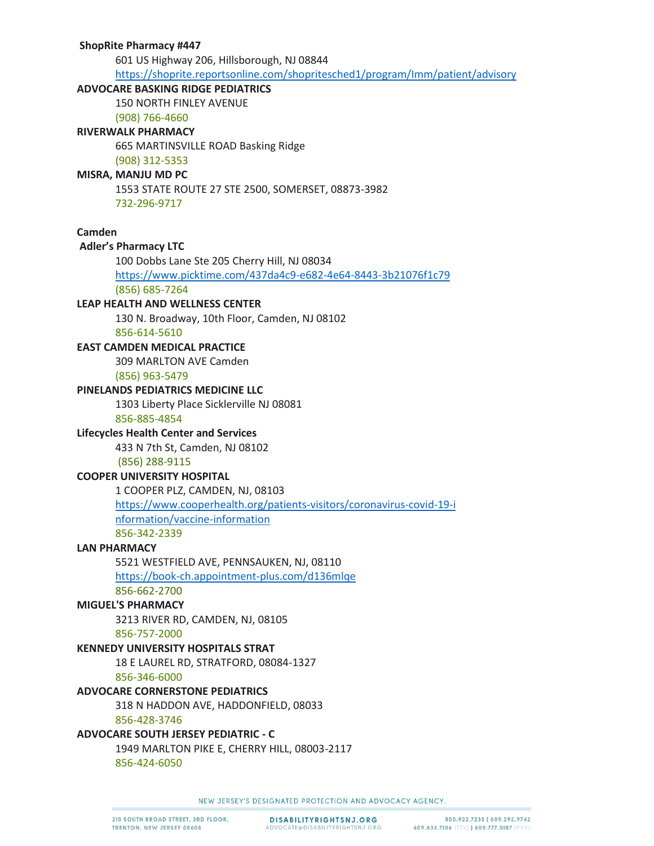### **ShopRite Pharmacy #447**

601 US Highway 206, Hillsborough, NJ 08844

<https://shoprite.reportsonline.com/shopritesched1/program/Imm/patient/advisory>

## **ADVOCARE BASKING RIDGE PEDIATRICS**

150 NORTH FINLEY AVENUE

(908) 766-4660 **RIVERWALK PHARMACY**

665 MARTINSVILLE ROAD Basking Ridge

(908) 312-5353

## **MISRA, MANJU MD PC**

1553 STATE ROUTE 27 STE 2500, SOMERSET, 08873-3982 732-296-9717

## **Camden**

## **Adler's Pharmacy LTC**

100 Dobbs Lane Ste 205 Cherry Hill, NJ 08034

<https://www.picktime.com/437da4c9-e682-4e64-8443-3b21076f1c79>

(856) 685-7264

## **LEAP HEALTH AND WELLNESS CENTER**

130 N. Broadway, 10th Floor, Camden, NJ 08102

856-614-5610

## **EAST CAMDEN MEDICAL PRACTICE**

309 MARLTON AVE Camden

(856) 963-5479

## **PINELANDS PEDIATRICS MEDICINE LLC**

1303 Liberty Place Sicklerville NJ 08081

## 856-885-4854

## **Lifecycles Health Center and Services**

433 N 7th St, Camden, NJ 08102

(856) 288-9115

## **COOPER UNIVERSITY HOSPITAL**

1 COOPER PLZ, CAMDEN, NJ, 08103

[https://www.cooperhealth.org/patients-visitors/coronavirus-covid-19-i](https://www.cooperhealth.org/patients-visitors/coronavirus-covid-19-information/vaccine-information) nformation/vaccine-information

856-342-2339

## **LAN PHARMACY**

5521 WESTFIELD AVE, PENNSAUKEN, NJ, 08110 <https://book-ch.appointment-plus.com/d136mlqe>

856-662-2700

## **MIGUEL'S PHARMACY**

3213 RIVER RD, CAMDEN, NJ, 08105 856-757-2000

## **KENNEDY UNIVERSITY HOSPITALS STRAT**

18 E LAUREL RD, STRATFORD, 08084-1327

856-346-6000

## **ADVOCARE CORNERSTONE PEDIATRICS**

318 N HADDON AVE, HADDONFIELD, 08033

856-428-3746

# **ADVOCARE SOUTH JERSEY PEDIATRIC - C**

1949 MARLTON PIKE E, CHERRY HILL, 08003-2117 856-424-6050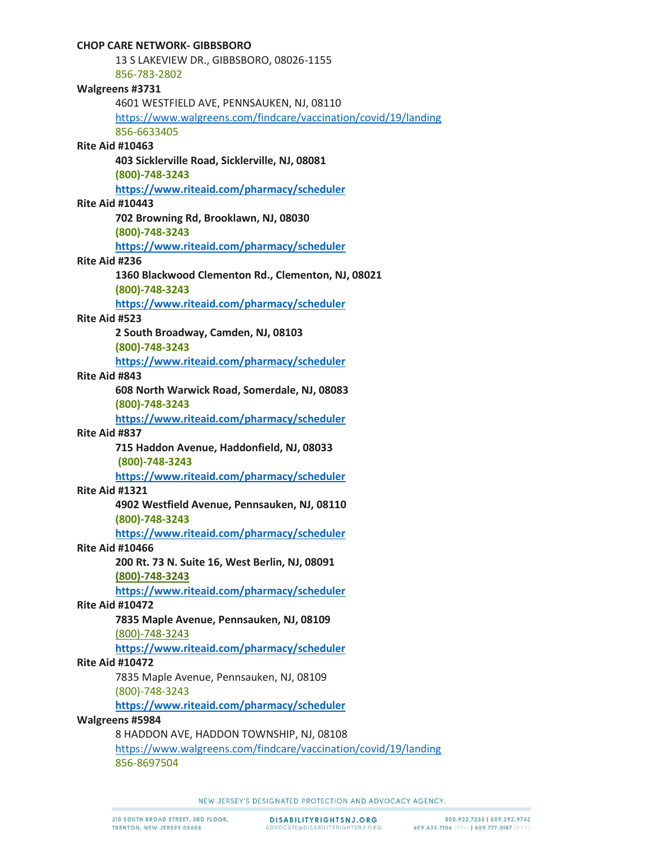| <b>CHOP CARE NETWORK- GIBBSBORO</b>                             |
|-----------------------------------------------------------------|
| 13 S LAKEVIEW DR., GIBBSBORO, 08026-1155                        |
| 856-783-2802                                                    |
| Walgreens #3731                                                 |
| 4601 WESTFIELD AVE, PENNSAUKEN, NJ, 08110                       |
| https://www.walgreens.com/findcare/vaccination/covid/19/landing |
| 856-6633405                                                     |
| <b>Rite Aid #10463</b>                                          |
| 403 Sicklerville Road, Sicklerville, NJ, 08081                  |
| (800)-748-3243                                                  |
| https://www.riteaid.com/pharmacy/scheduler                      |
| <b>Rite Aid #10443</b>                                          |
| 702 Browning Rd, Brooklawn, NJ, 08030                           |
| (800)-748-3243                                                  |
| https://www.riteaid.com/pharmacy/scheduler                      |
| Rite Aid #236                                                   |
| 1360 Blackwood Clementon Rd., Clementon, NJ, 08021              |
| (800)-748-3243                                                  |
| https://www.riteaid.com/pharmacy/scheduler                      |
| Rite Aid #523                                                   |
| 2 South Broadway, Camden, NJ, 08103                             |
| (800)-748-3243                                                  |
| https://www.riteaid.com/pharmacy/scheduler                      |
| Rite Aid #843                                                   |
| 608 North Warwick Road, Somerdale, NJ, 08083                    |
| (800)-748-3243                                                  |
| https://www.riteaid.com/pharmacy/scheduler                      |
| Rite Aid #837                                                   |
| 715 Haddon Avenue, Haddonfield, NJ, 08033                       |
| (800)-748-3243                                                  |
| https://www.riteaid.com/pharmacy/scheduler                      |
| <b>Rite Aid #1321</b>                                           |
| 4902 Westfield Avenue, Pennsauken, NJ, 08110                    |
| $(800) - 748 - 3243$                                            |
| https://www.riteaid.com/pharmacy/scheduler                      |
| <b>Rite Aid #10466</b>                                          |
| 200 Rt. 73 N. Suite 16, West Berlin, NJ, 08091                  |
| (800)-748-3243                                                  |
| https://www.riteaid.com/pharmacy/scheduler                      |
| <b>Rite Aid #10472</b>                                          |
| 7835 Maple Avenue, Pennsauken, NJ, 08109                        |
| (800)-748-3243                                                  |
| https://www.riteaid.com/pharmacy/scheduler                      |
| <b>Rite Aid #10472</b>                                          |
| 7835 Maple Avenue, Pennsauken, NJ, 08109                        |
| (800)-748-3243                                                  |
| https://www.riteaid.com/pharmacy/scheduler                      |
| Walgreens #5984                                                 |
| 8 HADDON AVE, HADDON TOWNSHIP, NJ, 08108                        |
| https://www.walgreens.com/findcare/vaccination/covid/19/landing |
| 856-8697504                                                     |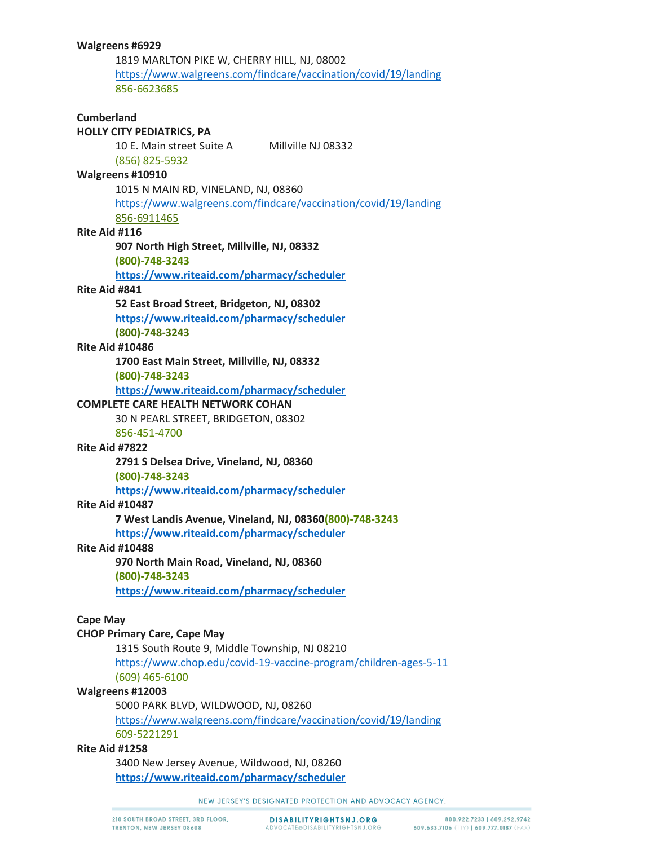1819 MARLTON PIKE W, CHERRY HILL, NJ, 08002 <https://www.walgreens.com/findcare/vaccination/covid/19/landing> 856-6623685

# **Cumberland HOLLY CITY PEDIATRICS, PA** 10 E. Main street Suite A Millville NJ 08332 (856) 825-5932 **Walgreens #10910** 1015 N MAIN RD, VINELAND, NJ, 08360 <https://www.walgreens.com/findcare/vaccination/covid/19/landing> 856-6911465 **Rite Aid #116 907 North High Street, Millville, NJ, 08332 (800)-748-3243 <https://www.riteaid.com/pharmacy/scheduler> Rite Aid #841 52 East Broad Street, Bridgeton, NJ, 08302 <https://www.riteaid.com/pharmacy/scheduler> (800)-748-3243 Rite Aid #10486 1700 East Main Street, Millville, NJ, 08332 (800)-748-3243 <https://www.riteaid.com/pharmacy/scheduler> COMPLETE CARE HEALTH NETWORK COHAN** 30 N PEARL STREET, BRIDGETON, 08302 856-451-4700 **Rite Aid #7822 2791 S Delsea Drive, Vineland, NJ, 08360 (800)-748-3243 <https://www.riteaid.com/pharmacy/scheduler> Rite Aid #10487 7 West Landis Avenue, Vineland, NJ, 08360(800)-748-3243 <https://www.riteaid.com/pharmacy/scheduler> Rite Aid #10488 970 North Main Road, Vineland, NJ, 08360 (800)-748-3243 <https://www.riteaid.com/pharmacy/scheduler> Cape May CHOP Primary Care, Cape May** 1315 South Route 9, Middle Township, NJ 08210 <https://www.chop.edu/covid-19-vaccine-program/children-ages-5-11> (609) 465-6100 **Walgreens #12003** 5000 PARK BLVD, WILDWOOD, NJ, 08260 <https://www.walgreens.com/findcare/vaccination/covid/19/landing> 609-5221291

## **Rite Aid #1258**

3400 New Jersey Avenue, Wildwood, NJ, 08260 **<https://www.riteaid.com/pharmacy/scheduler>**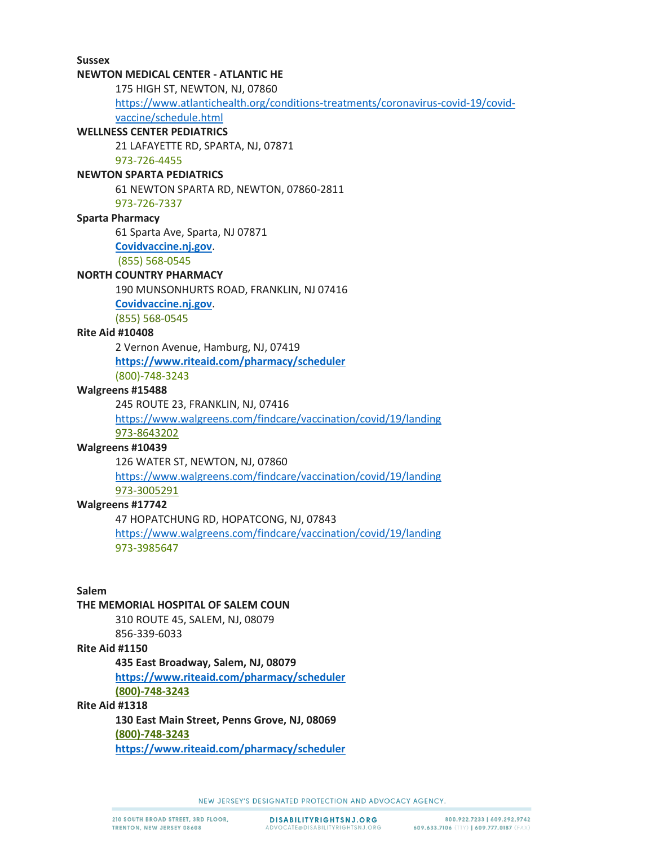# **Sussex NEWTON MEDICAL CENTER - ATLANTIC HE** 175 HIGH ST, NEWTON, NJ, 07860 [https://www.atlantichealth.org/conditions-treatments/coronavirus-covid-19/covid](https://www.atlantichealth.org/conditions-treatments/coronavirus-covid-19/covid-vaccine/schedule.html)vaccine/schedule.html **WELLNESS CENTER PEDIATRICS** 21 LAFAYETTE RD, SPARTA, NJ, 07871 973-726-4455 **NEWTON SPARTA PEDIATRICS** 61 NEWTON SPARTA RD, NEWTON, 07860-2811 973-726-7337 **Sparta Pharmacy** 61 Sparta Ave, Sparta, NJ 07871 **[Covidvaccine.nj.gov](https://covidvaccine.nj.gov/)**. (855) 568-0545 **NORTH COUNTRY PHARMACY** 190 MUNSONHURTS ROAD, FRANKLIN, NJ 07416 **[Covidvaccine.nj.gov](https://covidvaccine.nj.gov/)**. (855) 568-0545 **Rite Aid #10408** 2 Vernon Avenue, Hamburg, NJ, 07419 **<https://www.riteaid.com/pharmacy/scheduler>** (800)-748-3243 **Walgreens #15488** 245 ROUTE 23, FRANKLIN, NJ, 07416 <https://www.walgreens.com/findcare/vaccination/covid/19/landing> 973-8643202 **Walgreens #10439** 126 WATER ST, NEWTON, NJ, 07860 <https://www.walgreens.com/findcare/vaccination/covid/19/landing> 973-3005291 **Walgreens #17742** 47 HOPATCHUNG RD, HOPATCONG, NJ, 07843 <https://www.walgreens.com/findcare/vaccination/covid/19/landing> 973-3985647 **Salem THE MEMORIAL HOSPITAL OF SALEM COUN**

# 310 ROUTE 45, SALEM, NJ, 08079

856-339-6033

#### **Rite Aid #1150**

**435 East Broadway, Salem, NJ, 08079**

**<https://www.riteaid.com/pharmacy/scheduler> (800)-748-3243**

## **Rite Aid #1318**

**130 East Main Street, Penns Grove, NJ, 08069 (800)-748-3243 <https://www.riteaid.com/pharmacy/scheduler>**